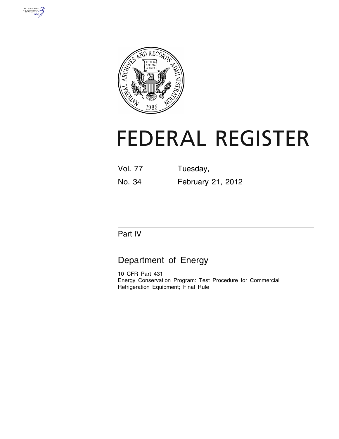



# **FEDERAL REGISTER**

| Vol. 77 | Tuesday, |
|---------|----------|
|         |          |

No. 34 February 21, 2012

# Part IV

# Department of Energy

10 CFR Part 431 Energy Conservation Program: Test Procedure for Commercial Refrigeration Equipment; Final Rule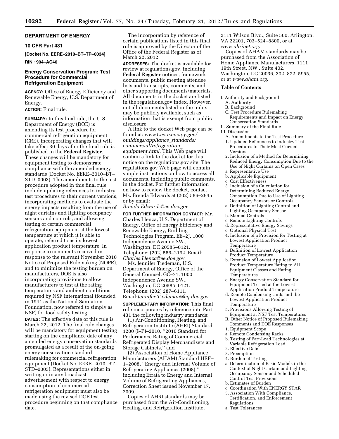# **DEPARTMENT OF ENERGY**

# **10 CFR Part 431**

**[Docket No. EERE–2010–BT–TP–0034] RIN 1904–AC40** 

# **Energy Conservation Program: Test Procedure for Commercial Refrigeration Equipment**

**AGENCY:** Office of Energy Efficiency and Renewable Energy, U.S. Department of Energy.

# **ACTION:** Final rule.

**SUMMARY:** In this final rule, the U.S. Department of Energy (DOE) is amending its test procedure for commercial refrigeration equipment (CRE), incorporating changes that will take effect 30 days after the final rule is published in the **Federal Register**. These changes will be mandatory for equipment testing to demonstrate compliance with the amended energy standards (Docket No. EERE–2010–BT– STD–0003). The amendments to the test procedure adopted in this final rule include updating references to industry test procedures to their current versions, incorporating methods to evaluate the energy impacts resulting from the use of night curtains and lighting occupancy sensors and controls, and allowing testing of certain commercial refrigeration equipment at the lowest temperature at which it is able to operate, referred to as its lowest application product temperature. In response to comments received in response to the relevant November 2010 Notice of Proposed Rulemaking (NOPR), and to minimize the testing burden on manufacturers, DOE is also incorporating provisions to allow manufacturers to test at the rating temperatures and ambient conditions required by NSF International (founded in 1944 as the National Sanitation Foundation, now referred to simply as NSF) for food safety testing.

**DATES:** The effective date of this rule is March 22, 2012. The final rule changes will be mandatory for equipment testing starting on the compliance date of any amended energy conservation standards promulgated as a result of the on-going energy conservation standard rulemaking for commercial refrigeration equipment (Docket No. EERE–2010–BT– STD–0003). Representations either in writing or in any broadcast advertisement with respect to energy consumption of commercial refrigeration equipment must also be made using the revised DOE test procedure beginning on that compliance date.

The incorporation by reference of certain publications listed in this final rule is approved by the Director of the Office of the Federal Register as of March 22, 2012.

**ADDRESSES:** The docket is available for review at regulations.gov, including **Federal Register** notices, framework documents, public meeting attendee lists and transcripts, comments, and other supporting documents/materials. All documents in the docket are listed in the regulations.gov index. However, not all documents listed in the index may be publicly available, such as information that is exempt from public disclosure.

A link to the docket Web page can be found at: *[www1.eere.energy.gov/](http://www1.eere.energy.gov/buildings/appliance_standards/commercial/refrigeration_equipment.html) [buildings/appliance](http://www1.eere.energy.gov/buildings/appliance_standards/commercial/refrigeration_equipment.html)*\_*standards/ [commercial/refrigeration](http://www1.eere.energy.gov/buildings/appliance_standards/commercial/refrigeration_equipment.html)*\_ *[equipment.html.](http://www1.eere.energy.gov/buildings/appliance_standards/commercial/refrigeration_equipment.html)* This Web page will contain a link to the docket for this notice on the regulations.gov site. The regulations.gov Web page will contain simple instructions on how to access all documents, including public comments, in the docket. For further information on how to review the docket, contact Ms. Brenda Edwards at (202) 586–2945 or by email:

*[Brenda.Edwards@ee.doe.gov.](mailto:Brenda.Edwards@ee.doe.gov)* 

**FOR FURTHER INFORMATION CONTACT:** Mr. Charles Llenza, U.S. Department of Energy, Office of Energy Efficiency and Renewable Energy, Building Technologies Program, EE–2J, 1000 Independence Avenue SW., Washington, DC 20585–0121. Telephone: (202) 586–2192. Email: *[Charles.Llenza@ee.doe.gov.](mailto:Charles.Llenza@ee.doe.gov)* 

Ms. Jennifer Tiedeman, U.S. Department of Energy, Office of the General Counsel, GC–71, 1000 Independence Avenue SW., Washington, DC 20585–0121. Telephone: (202) 287–6111. Email:*[Jennifer.Tiedeman@hq.doe.gov.](mailto:Jennifer.Tiedeman@hq.doe.gov)* 

**SUPPLEMENTARY INFORMATION:** This final rule incorporates by reference into Part 431 the following industry standards:

(1) Air-Conditioning, Heating, and Refrigeration Institute (AHRI) Standard 1200 (I–P)–2010, ''2010 Standard for Performance Rating of Commercial Refrigerated Display Merchandisers and Storage Cabinets,'' and

(2) Association of Home Appliance Manufacturers (AHAM) Standard HRF– 1–2008, ''Energy and Internal Volume of Refrigerating Appliances (2008),'' including Errata to Energy and Internal Volume of Refrigerating Appliances, Correction Sheet issued November 17, 2009.

Copies of AHRI standards may be purchased from the Air-Conditioning, Heating, and Refrigeration Institute,

2111 Wilson Blvd., Suite 500, Arlington, VA 22201, 703–524–8800, or at *[www.ahrinet.org.](http://www.ahrinet.org)* 

Copies of AHAM standards may be purchased from the Association of Home Appliance Manufacturers, 1111 19th Street, NW., Suite 402, Washington, DC 20036, 202–872–5955, or at *[www.aham.org.](http://www.aham.org)* 

#### **Table of Contents**

I. Authority and Background

- A. Authority
- B. Background
- C. Test Procedure Rulemaking Requirements and Impact on Energy Conservation Standards
- II. Summary of the Final Rule

# III. Discussion

- A. Amendments to the Test Procedure
- 1. Updated References to Industry Test Procedures to Their Most Current Versions
- 2. Inclusion of a Method for Determining Reduced Energy Consumption Due to the Use of Night Curtains on Open Cases a. Representative Use
- 
- b. Applicable Equipment c. Cost Effectiveness
- 3. Inclusion of a Calculation for Determining Reduced Energy Consumption Due to Use of Lighting
- Occupancy Sensors or Controls a. Definition of Lighting Control and
- Lighting Occupancy Sensor
- b. Manual Controls
- c. Remote Lighting Controls
- d. Representative Energy Savings
- e. Optional Physical Test
- 4. Inclusion of a Provision for Testing at Lowest Application Product Temperature
- a. Definition of Lowest Application Product Temperature
- b. Extension of Lowest Application Product Temperature Rating to All Equipment Classes and Rating Temperatures
- c. Energy Conservation Standard for Equipment Tested at the Lowest Application Product Temperature
- d. Remote Condensing Units and the Lowest Application Product **Temperature**
- 5. Provisions Allowing Testing of
- Equipment at NSF Test Temperatures B. Other Notice of Proposed Rulemaking Comments and DOE Responses
- 1. Equipment Scope
- a. Remote Condensing Racks
- b. Testing of Part-Load Technologies at Variable Refrigeration Load
- 2. Effective Date
- 3. Preemption
- 4. Burden of Testing
- a. Determination of Basic Models in the Context of Night Curtain and Lighting Occupancy Sensor and Scheduled Control Test Provisions
- b. Estimates of Burden
- c. Coordination With ENERGY STAR
- 5. Association With Compliance, Certification, and Enforcement Regulations
- a. Test Tolerances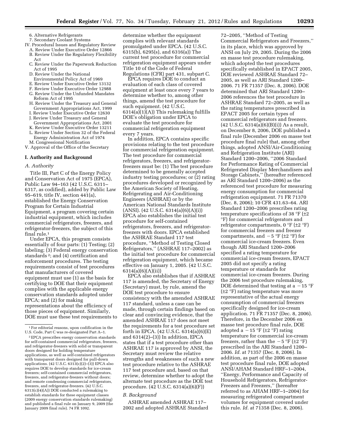6. Alternative Refrigerants

- 7. Secondary Coolant Systems
- IV. Procedural Issues and Regulatory Review
	- A. Review Under Executive Order 12866 B. Review Under the Regulatory Flexibility Act
	- C. Review Under the Paperwork Reduction Act of 1995
	- D. Review Under the National
	- Environmental Policy Act of 1969
	- E. Review Under Executive Order 13132
	- F. Review Under Executive Order 12988
	- G. Review Under the Unfunded Mandates Reform Act of 1995
	- H. Review Under the Treasury and General Government Appropriations Act, 1999
	- I. Review Under Executive Order 12630
	- J. Review Under Treasury and General
	- Government Appropriations Act, 2001 K. Review Under Executive Order 13211
	- L. Review Under Section 32 of the Federal
	- Energy Administration Act of 1974
- M. Congressional Notification

# V. Approval of the Office of the Secretary

# **I. Authority and Background**

#### *A. Authority*

Title III, Part C of the Energy Policy and Conservation Act of 1975 (EPCA), Public Law 94–163 (42 U.S.C. 6311– 6317, as codified), added by Public Law 95–619, title IV, section 441(a), established the Energy Conservation Program for Certain Industrial Equipment, a program covering certain industrial equipment, which includes commercial refrigerators, freezers, and refrigerator-freezers, the subject of this final rule.1

Under EPCA, this program consists essentially of four parts: (1) Testing; (2) labeling; (3) Federal energy conservation standards 2; and (4) certification and enforcement procedures. The testing requirements consist of test procedures that manufacturers of covered equipment must use (1) as the basis for certifying to DOE that their equipment complies with the applicable energy conservation standards adopted under EPCA; and (2) for making representations about the efficiency of those pieces of equipment. Similarly, DOE must use these test requirements to

determine whether the equipment complies with relevant standards promulgated under EPCA. (42 U.S.C. 6315(b), 6295(s), and 6316(a)) The current test procedure for commercial refrigeration equipment appears under Title 10 of the Code of Federal Regulations (CFR) part 431, subpart C.

EPCA requires DOE to conduct an evaluation of each class of covered equipment at least once every 7 years to determine whether to, among other things, amend the test procedure for such equipment. (42 U.S.C. 6314(a)(1)(A)) This rulemaking fulfills DOE's obligation under EPCA to evaluate the test procedure for commercial refrigeration equipment every 7 years.

In addition, EPCA contains specific provisions relating to the test procedure for commercial refrigeration equipment. The test procedure for commercial refrigerators, freezers, and refrigeratorfreezers must be: (1) The test procedure determined to be generally accepted industry testing procedures; or (2) rating procedures developed or recognized by the American Society of Heating, Refrigerating and Air-Conditioning Engineers (ASHRAE) or by the American National Standards Institute  $(ANSI)$ .  $(42 \text{ U.S.C. } 6314(a)(6)(A)(i))$ EPCA also establishes the initial test procedure for self-contained refrigerators, freezers, and refrigeratorfreezers with doors. EPCA established the ASHRAE Standard 117 test procedure, ''Method of Testing Closed Refrigerators,'' (ASHRAE 117–2002) as the initial test procedure for commercial refrigeration equipment, which became effective on January 1, 2005. (42 U.S.C. 6314(a)(6)(A)(ii))

EPCA also establishes that if ASHRAE 117 is amended, the Secretary of Energy (Secretary) must, by rule, amend the DOE test procedure to ensure consistency with the amended ASHRAE 117 standard, unless a case can be made, through certain findings based on clear and convincing evidence, that the amended ASHRAE 117 does not meet the requirements for a test procedure set forth in EPCA. (42 U.S.C. 6314(a)(6)(E) and 6314(2)–(3)) In addition, EPCA states that if a test procedure other than ASHRAE 117 is approved by ANSI, the Secretary must review the relative strengths and weaknesses of such a new test procedure relative to the ASHRAE 117 test procedure and, based on that review, determine whether to adopt the alternate test procedure as the DOE test procedure. (42 U.S.C. 6314(a)(6)(F))

#### *B. Background*

ASHRAE amended ASHRAE 117– 2002 and adopted ASHRAE Standard

72–2005, ''Method of Testing Commercial Refrigerators and Freezers,'' in its place, which was approved by ANSI on July 29, 2005. During the 2006 en masse test procedure rulemaking, which adopted the test procedures specifically established in EPACT 2005, DOE reviewed ASHRAE Standard 72– 2005, as well as ARI Standard 1200– 2006. 71 FR 71357 (Dec. 8, 2006). DOE determined that ARI Standard 1200– 2006 references the test procedure in ASHRAE Standard 72–2005, as well as the rating temperatures prescribed in EPACT 2005 for certain types of commercial refrigerators and freezers.  $(42 \text{ U.S.C. } 6314(a)(6)(B)(i))$  As a result, on December 8, 2006, DOE published a final rule (December 2006 en masse test procedure final rule) that, among other things, adopted ANSI/Air-Conditioning and Refrigeration Institute (ARI) Standard 1200–2006, ''2006 Standard for Performance Rating of Commercial Refrigerated Display Merchandisers and Storage Cabinets,'' (hereafter referenced as ARI Standard 1200–2006) as the referenced test procedure for measuring energy consumption for commercial refrigeration equipment. 71 FR 71370 (Dec. 8, 2006); 10 CFR 431.63–64. ARI Standard 1200–2006 prescribes rating temperature specifications of 38  $\degree$ F ( $\pm$ 2 °F) for commercial refrigerators and refrigerator compartments,  $0 \text{ }^{\circ}F$  ( $\pm 2 \text{ }^{\circ}F$ ) for commercial freezers and freezer compartments, and  $-5$  °F ( $\pm 2$  °F) for commercial ice-cream freezers. Even though ARI Standard 1200–2006 specified a rating temperature for commercial ice-cream freezers, EPACT 2005 did not specify a rating temperature or standards for commercial ice-cream freezers. During the 2006 test procedure rulemaking, DOE determined that testing at a  $-15$  °F (±2 °F) rating temperature was more representative of the actual energy consumption of commercial freezers specifically designed for ice-cream application. 71 FR 71357 (Dec. 8, 2006). Therefore, in the December 2006 en masse test procedure final rule, DOE adopted a  $-15$  °F ( $\pm$ 2 °F) rating temperature for commercial ice-cream freezers, rather than the  $-5 \degree F$  ( $\pm 2 \degree F$ ) prescribed in the ARI Standard 1200– 2006. *Id.* at 71357 (Dec. 8, 2006). In addition, as part of the 2006 en masse test procedure final rule, DOE adopted ANSI/AHAM Standard HRF–1–2004, ''Energy, Performance and Capacity of Household Refrigerators, Refrigerator-Freezers and Freezers,'' (hereafter referred to as AHAM HRF–1–2004) for measuring refrigerated compartment volumes for equipment covered under this rule. *Id.* at 71358 (Dec. 8, 2006).

<sup>1</sup>For editorial reasons, upon codification in the U.S. Code, Part C was re-designated Part A–1.

<sup>2</sup>EPCA prescribes energy conservation standards for self-contained commercial refrigerators, freezers, and refrigerator-freezers with solid or transparent doors designed for holding temperature applications, as well as self-contained refrigerators with transparent doors designed for pull-down applications. (42 U.S.C. 6313(c)(2)–(3)) EPCA also requires DOE to develop standards for ice-cream freezers; self-contained commercial refrigerators, freezers, and refrigerator-freezers without doors; and remote condensing commercial refrigerators, freezers, and refrigerator-freezers. (42 U.S.C. 6313(c)(4)(A)) DOE conducted a rulemaking to establish standards for these equipment classes (2009 energy conservation standards rulemaking) and published a final rule on January 9, 2009 (the January 2009 final rule). 74 FR 1092.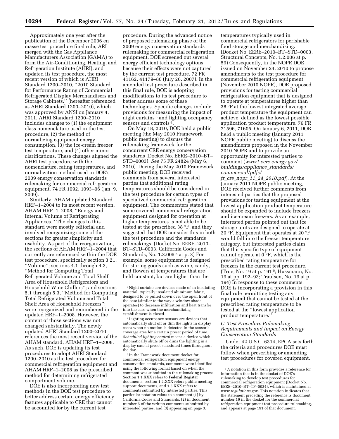Approximately one year after the publication of the December 2006 en masse test procedure final rule, ARI merged with the Gas Appliance Manufacturers Association (GAMA) to form the Air-Conditioning, Heating, and Refrigeration Institute (AHRI), and updated its test procedure, the most recent version of which is AHRI Standard 1200–2010, ''2010 Standard for Performance Rating of Commercial Refrigerated Display Merchandisers and Storage Cabinets,'' (hereafter referenced as AHRI Standard 1200–2010), which was approved by ANSI on January 4, 2011. AHRI Standard 1200–2010 includes changes to (1) the equipment class nomenclature used in the test procedure, (2) the method of normalizing equipment energy consumption, (3) the ice-cream freezer test temperature, and (4) other minor clarifications. These changes aligned the AHRI test procedure with the nomenclature, rating temperatures, and normalization method used in DOE's 2009 energy conservation standards rulemaking for commercial refrigeration equipment. 74 FR 1092, 1093–96 (Jan. 9, 2009).

Similarly, AHAM updated Standard HRF–1–2004 to its most recent version, AHAM HRF–1–2008, ''Energy and Internal Volume of Refrigerating Appliances.'' The changes to this standard were mostly editorial and involved reorganizing some of the sections for greater simplicity and usability. As part of the reorganization, the sections of AHAM HRF–1–2004 that currently are referenced within the DOE test procedure, specifically section 3.21, ''Volume''; sections 4.1 through 4.3, ''Method for Computing Total Refrigerated Volume and Total Shelf Area of Household Refrigerators and Household Wine Chillers''; and sections 5.1 through 5.3, ''Method for Computing Total Refrigerated Volume and Total Shelf Area of Household Freezers''; were reorganized and renumbered in the updated HRF–1–2008. However, the content of those sections was not changed substantially. The newly updated AHRI Standard 1200–2010 references the most recent version of the AHAM standard, AHAM HRF–1–2008. As such, DOE is updating its test procedures to adopt AHRI Standard 1200–2010 as the test procedure for commercial refrigeration equipment and AHAM HRF–1–2008 as the prescribed method for determining refrigerated compartment volume.

DOE is also incorporating new test methods in the DOE test procedure to better address certain energy efficiency features applicable to CRE that cannot be accounted for by the current test

procedure. During the advanced notice of proposed rulemaking phase of the 2009 energy conservation standards rulemaking for commercial refrigeration equipment, DOE screened out several energy efficient technology options because their effects were not captured by the current test procedure. 72 FR 41162, 41179–80 (July 26, 2007). In the amended test procedure described in this final rule, DOE is adopting modifications to its test procedure to better address some of these technologies. Specific changes include provisions for measuring the impact of night curtains 3 and lighting occupancy sensors and controls 4.

On May 18, 2010, DOE held a public meeting (the May 2010 Framework public meeting) to discuss the rulemaking framework for the concurrent CRE energy conservation standards (Docket No. EERE–2010–BT– STD–0003). *See* 75 FR 24824 (May 6, 2010). During the May 2010 Framework public meeting, DOE received comments from several interested parties that additional rating temperatures should be considered in the test procedure for certain types of specialized commercial refrigeration equipment. The commenters stated that some covered commercial refrigeration equipment designed for operation at higher temperatures is not able to be tested at the prescribed 38 °F, and they suggested that DOE consider this in both the test procedure and the standards rulemakings. (Docket No. EERE–2010– BT–STD–0003, California Codes and Standards, No. 1.3.005 5 at p. 3) For example, some equipment is designed for storing goods such as wine, candy, and flowers at temperatures that are held constant, but are higher than the

4Lighting occupancy sensors are devices that automatically shut off or dim the lights in display cases when no motion is detected in the sensor's coverage area for a certain preset period of time. *Scheduled lighting control* means a device which automatically shuts off or dims the lighting in a display case at preset scheduled times throughout the day.

5 In the Framework document docket for commercial refrigeration equipment energy conservation standards, comments were identified using the following format based on when the comment was submitted in the rulemaking process. Section 1.1.XXX refers to **Federal Register**  documents, section 1.2.XXX refers public meeting support documents, and 1.3.XXX refers to comments submitted by interested parties. This particular notation refers to a comment (1) by California Codes and Standards, (2) in document number 5 of the written comments submitted by interested parties, and (3) appearing on page 3.

temperatures typically used in commercial refrigerators for perishable food storage and merchandising. (Docket No. EERE–2010–BT–STD–0003, Structural Concepts, No. 1.2.006 at p. 59) Consequently, in the NOPR DOE issued on November 24, 2010 to propose amendments to the test procedure for commercial refrigeration equipment (November 2010 NOPR), DOE proposed provisions for testing commercial refrigeration equipment that is designed to operate at temperatures higher than 38 °F at the lowest integrated average product temperature the equipment can achieve, defined as the lowest possible application product temperature. 76 FR 71596, 71605. On January 6, 2011, DOE held a public meeting (January 2011 NOPR public meeting) to discuss the amendments proposed in the November 2010 NOPR and to provide an opportunity for interested parties to comment (*[www1.eere.energy.gov/](http://www1.eere.energy.gov/buildings/appliance_standards/commercial/pdfs/fr_cre_nopr_11_24_2010.pdf)  [buildings/appliance](http://www1.eere.energy.gov/buildings/appliance_standards/commercial/pdfs/fr_cre_nopr_11_24_2010.pdf)*\_*standards/ [commercial/pdfs/](http://www1.eere.energy.gov/buildings/appliance_standards/commercial/pdfs/fr_cre_nopr_11_24_2010.pdf)* 

*fr*\_*cre*\_*nopr*\_*11*\_*24*\_*[2010.pdf](http://www1.eere.energy.gov/buildings/appliance_standards/commercial/pdfs/fr_cre_nopr_11_24_2010.pdf)*). At the January 2011 NOPR public meeting, DOE received further comments from interested parties that the proposed provisions for testing equipment at the lowest application product temperature should be expanded to include freezers and ice-cream freezers. As an example, interested parties pointed out that ice storage units are designed to operate at 20 °F. Equipment that operates at 20 °F would fall into the freezer temperature category, but interested parties claim that this specific type of equipment cannot operate at 0 °F, which is the prescribed rating temperature for freezers in the current test procedure. (True, No. 19 at p. 191 6; Hussmann, No. 19 at pp. 192–93; Traulsen, No. 19 at p. 194) In response to these comments, DOE is incorporating a provision in this final rule permitting testing any equipment that cannot be tested at the prescribed rating temperature to be tested at the ''lowest application product temperature.''

# *C. Test Procedure Rulemaking Requirements and Impact on Energy Conservation Standards*

Under 42 U.S.C. 6314, EPCA sets forth the criteria and procedures DOE must follow when prescribing or amending test procedures for covered equipment.

<sup>3</sup>Night curtains are devices made of an insulating material, typically insulated aluminum fabric, designed to be pulled down over the open front of the case (similar to the way a window shade operates) to decrease infiltration and heat transfer into the case when the merchandizing establishment is closed.

 $^{\rm 6}$  A notation in this form provides a reference for information that is in the docket of DOE's rulemaking to develop test procedures for commercial refrigeration equipment (Docket No. EERE–2010–BT–TP–0034), which is maintained at *[www.regulations.gov.](http://www.regulations.gov)* This notation indicates that the statement preceding the reference is document number 19 in the docket for the commercial refrigeration equipment test procedure rulemaking, and appears at page 191 of that document.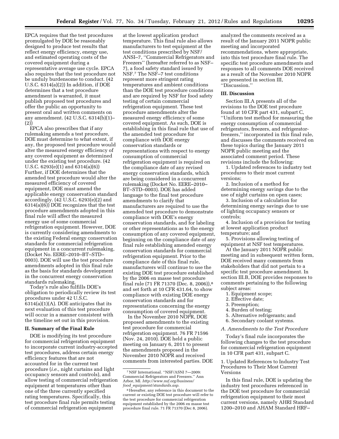EPCA requires that the test procedures promulgated by DOE be reasonably designed to produce test results that reflect energy efficiency, energy use, and estimated operating costs of the covered equipment during a representative average use cycle. EPCA also requires that the test procedure not be unduly burdensome to conduct. (42 U.S.C. 6314(a)(2)) In addition, if DOE determines that a test procedure amendment is warranted, it must publish proposed test procedures and offer the public an opportunity to present oral and written comments on any amendment. (42 U.S.C. 6314(b)(1)– (2))

EPCA also prescribes that if any rulemaking amends a test procedure, DOE must determine to what extent, if any, the proposed test procedure would alter the measured energy efficiency of any covered equipment as determined under the existing test procedure. (42 U.S.C. 6293(e)(1) and 6314(a)(6)) Further, if DOE determines that the amended test procedure would alter the measured efficiency of covered equipment, DOE must amend the applicable energy conservation standard accordingly. (42 U.S.C. 6293(e)(2) and 6314(a)(6)) DOE recognizes that the test procedure amendments adopted in this final rule will affect the measured energy use of some commercial refrigeration equipment. However, DOE is currently considering amendments to the existing Federal energy conservation standards for commercial refrigeration equipment in a concurrent rulemaking, (Docket No. EERE–2010–BT–STD– 0003). DOE will use the test procedure amendments adopted in this final rule as the basis for standards development in the concurrent energy conservation standards rulemaking.

Today's rule also fulfills DOE's obligation to periodically review its test procedures under 42 U.S.C. 6314(a)(1)(A). DOE anticipates that its next evaluation of this test procedure will occur in a manner consistent with the timeline set out in this provision.

#### **II. Summary of the Final Rule**

DOE is modifying its test procedure for commercial refrigeration equipment to incorporate current industry-accepted test procedures, address certain energy efficiency features that are not accounted for in the current test procedure (*i.e.,* night curtains and light occupancy sensors and controls), and allow testing of commercial refrigeration equipment at temperatures other than one of the three currently specified rating temperatures. Specifically, this test procedure final rule permits testing of commercial refrigeration equipment

at the lowest application product temperature. This final rule also allows manufacturers to test equipment at the test conditions prescribed by NSF/ ANSI–7, ''Commercial Refrigerators and Freezers'' (hereafter referred to as NSF– 7), a food safety standard issued by NSF.7 The NSF–7 test conditions represent more stringent rating temperatures and ambient conditions than the DOE test procedure conditions and are required by NSF for food safety testing of certain commercial refrigeration equipment. These test procedure amendments alter the measured energy efficiency of some covered equipment. As such, DOE is establishing in this final rule that use of the amended test procedure for compliance with DOE energy conservation standards or representations with respect to energy consumption of commercial refrigeration equipment is required on the compliance date of any revised energy conservation standards, which are being considered in a concurrent rulemaking (Docket No. EERE–2010– BT–STD–0003). DOE has added language to the final test procedure amendments to clarify that manufacturers are required to use the amended test procedure to demonstrate compliance with DOE's energy conservation standards, and for labeling or other representations as to the energy consumption of any covered equipment, beginning on the compliance date of any final rule establishing amended energy conservation standards for commercial refrigeration equipment. Prior to the compliance date of this final rule, manufacturers will continue to use the existing DOE test procedure established by the 2006 en masse test procedure final rule (71 FR 71370 (Dec. 8, 2006)),8 and set forth at 10 CFR 431.64, to show compliance with existing DOE energy conservation standards and for representations concerning the energy consumption of covered equipment.

In the November 2010 NOPR, DOE proposed amendments to the existing test procedure for commercial refrigeration equipment. 76 FR 71596 (Nov. 24, 2010). DOE held a public meeting on January 6, 2011 to present the amendments proposed in the November 2010 NOPR and received comments from interested parties. DOE analyzed the comments received as a result of the January 2011 NOPR public meeting and incorporated recommendations, where appropriate, into this test procedure final rule. The specific test procedure amendments and responses to all comments DOE received as a result of the November 2010 NOPR are presented in section III, ''Discussion.''

#### **III. Discussion**

Section III.A presents all of the revisions to the DOE test procedure found at 10 CFR part 431, subpart C, ''Uniform test method for measuring the energy consumption of commercial refrigerators, freezers, and refrigeratorfreezers,'' incorporated in this final rule, and discusses the comments received on these topics during the January 2011 NOPR public meeting and the associated comment period. These revisions include the following:

1. Updated references to industry test procedures to their most current versions;

2. Inclusion of a method for determining energy savings due to the use of night curtains on open cases;

3. Inclusion of a calculation for determining energy savings due to use of lighting occupancy sensors or controls;

4. Inclusion of a provision for testing at lowest application product temperature; and

5. Provisions allowing testing of equipment at NSF test temperatures.

At the January 2011 NOPR public meeting and in subsequent written form, DOE received many comments from stakeholders that did not pertain to a specific test procedure amendment. In section III.B, DOE provides responses to comments pertaining to the following subject areas:

- 1. Equipment scope;
- 2. Effective date;
- 3. Preemption;
- 4. Burden of testing;
- 5. Alternative refrigerants; and
- 6. Secondary coolant systems.

*A. Amendments to the Test Procedure* 

Today's final rule incorporates the following changes to the test procedure for commercial refrigeration equipment in 10 CFR part 431, subpart C.

1. Updated References to Industry Test Procedures to Their Most Current Versions

In this final rule, DOE is updating the industry test procedures referenced in the DOE test procedure for commercial refrigeration equipment to their most current versions, namely AHRI Standard 1200–2010 and AHAM Standard HRF–

<sup>7</sup>NSF International. ''NSF/ASNI 7—2009: Commercial Refrigerators and Freezers.'' Ann Arbor, MI. *[http://www.nsf.org/business/](http://www.nsf.org/business/food_equipment/standards.asp)  food*\_*[equipment/standards.asp.](http://www.nsf.org/business/food_equipment/standards.asp)* 

<sup>8</sup>Hereafter, any reference in this document to the current or existing DOE test procedure will refer to the test procedure for commercial refrigeration equipment established by the 2006 en masse test procedure final rule. 71 FR 71370 (Dec 8, 2006).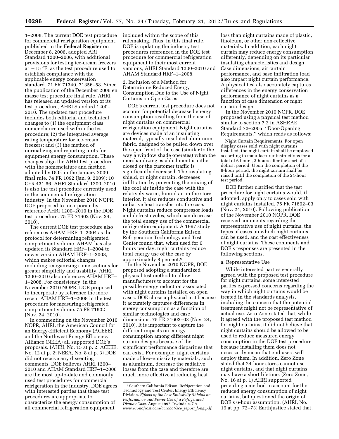1–2008. The current DOE test procedure for commercial refrigeration equipment, published in the **Federal Register** on December 8, 2006, adopted ARI Standard 1200–2006, with additional provisions for testing ice-cream freezers at  $-15$  °F, as the test procedure used to establish compliance with the applicable energy conservation standard. 71 FR 71340, 71356–58. Since the publication of the December 2006 en masse test procedure final rule, AHRI has released an updated version of its test procedure, AHRI Standard 1200– 2010. The updated test procedure includes both editorial and technical changes to (1) the equipment class nomenclature used within the test procedure; (2) the integrated average rating temperature for ice-cream freezers; and (3) the method of normalizing and reporting units for equipment energy consumption. These changes align the AHRI test procedure with the nomenclature and method adopted by DOE in the January 2009 final rule. 74 FR 1092 (Jan. 9, 2009); 10 CFR 431.66. AHRI Standard 1200–2010 is also the test procedure currently used in the commercial refrigeration industry. In the November 2010 NOPR, DOE proposed to incorporate by reference AHRI 1200–2010 in the DOE test procedure. 75 FR 71602 (Nov. 24, 2010).

The current DOE test procedure also references AHAM HRF–1–2004 as the protocol for determining refrigerated compartment volume. AHAM has also updated its Standard HRF–1–2004 to newer version AHAM HRF–1–2008, which makes editorial changes including reorganizing some sections for greater simplicity and usability. AHRI 1200–2010 also references AHAM HRF– 1–2008. For consistency, in the November 2010 NOPR, DOE proposed to incorporate by reference the more recent AHAM HRF–1–2008 in the test procedure for measuring refrigerated compartment volume. 75 FR 71602 (Nov. 24, 2010).

In commenting on the November 2010 NOPR, AHRI, the American Council for an Energy-Efficient Economy (ACEEE), and the Northwest Energy Efficiency Alliance (NEEA) all supported DOE's proposals. (AHRI, No. 15 at p. 2; ACEEE, No. 12 at p. 2; NEEA, No. 8 at p. 3) DOE did not receive any dissenting comments. DOE believes AHRI 1200– 2010 and AHAM Standard HRF–1–2008 are the most up-to-date and commonly used test procedures for commercial refrigeration in the industry. DOE agrees with interested parties that these test procedures are appropriate to characterize the energy consumption of all commercial refrigeration equipment

included within the scope of this rulemaking. Thus, in this final rule, DOE is updating the industry test procedures referenced in the DOE test procedure for commercial refrigeration equipment to their most current versions, AHRI Standard 1200–2010 and AHAM Standard HRF–1–2008.

2. Inclusion of a Method for Determining Reduced Energy Consumption Due to the Use of Night Curtains on Open Cases

DOE's current test procedure does not account for potential decreased energy consumption resulting from the use of night curtains on commercial refrigeration equipment. Night curtains are devices made of an insulating material, typically insulated aluminum fabric, designed to be pulled down over the open front of the case (similar to the way a window shade operates) when the merchandizing establishment is either closed or the customer traffic is significantly decreased. The insulating shield, or night curtain, decreases infiltration by preventing the mixing of the cool air inside the case with the relatively warm, humid air in the store interior. It also reduces conductive and radiative heat transfer into the case. Night curtains reduce compressor loads and defrost cycles, which can decrease the total energy use of the commercial refrigeration equipment. A 1997 study by the Southern California Edison Refrigeration Technology and Test Center found that, when used for 6 hours per day, night curtains reduce total energy use of the case by approximately 8 percent.9

In the November 2010 NOPR, DOE proposed adopting a standardized physical test method to allow manufacturers to account for the possible energy reduction associated with night curtains installed on open cases. DOE chose a physical test because it accurately captures differences in energy consumption as a function of similar technologies and case dimensions. 75 FR 71602–03 (Nov. 24, 2010). It is important to capture the different impacts on energy consumption among different night curtain designs because of the significant performance disparities that can exist. For example, night curtains made of low-emissivity materials, such as aluminum, decrease the radiative losses from the case and therefore are much more effective at reducing heat

loss than night curtains made of plastic, linoleum, or other non-reflective materials. In addition, each night curtain may reduce energy consumption differently, depending on its particular insulating characteristics and design. Case dimensions, air curtain performance, and base infiltration load also impact night curtain performance. A physical test also accurately captures differences in the energy conservation performance of night curtains as a function of case dimension or night curtain design.

In the November 2010 NOPR, DOE proposed using a physical test method similar to section 7.2 in ASHRAE Standard 72–2005, ''Door-Opening Requirements,'' which reads as follows:

Night Curtain Requirements. For open display cases sold with night curtains installed, the night curtain shall be employed according to manufacturer instructions for a total of 6 hours, 3 hours after the start of a defrost period. Upon the completion of the 6-hour period, the night curtain shall be raised until the completion of the 24-hour test period.

DOE further clarified that the test procedure for night curtains would, if adopted, apply only to cases sold with night curtains installed. 75 FR 71602–03 (Nov. 24, 2010). Following publication of the November 2010 NOPR, DOE received comments regarding the representative use of night curtains, the types of cases on which night curtains can be used, and the cost effectiveness of night curtains. These comments and DOE's responses are presented in the following sections.

# a. Representative Use

While interested parties generally agreed with the proposed test procedure for night curtains, some interested parties expressed concerns regarding the way in which night curtains would be treated in the standards analysis, including the concern that the potential treatment might not be representative of actual use. Zero Zone stated that, while it agreed with the proposed test method for night curtains, it did not believe that night curtains should be allowed to be used to reduce measured energy consumption in the DOE test procedure because installing them does not necessarily mean that end users will deploy them. In addition, Zero Zone stated that 24-hour stores cannot use night curtains, and that night curtains may have a short lifetime. (Zero Zone, No. 16 at p. 1) AHRI supported providing a method to account for the reduced energy consumption of night curtains, but questioned the origin of DOE's 6-hour assumption. (AHRI, No. 19 at pp. 72–73) Earthjustice stated that,

<sup>&</sup>lt;sup>9</sup> Southern California Edison, Refrigeration and Technology and Test Center, Energy Efficiency Division. *Effects of the Low Emissivity Shields on Performance and Power Use of a Refrigerated Display Case.* August 1997. Irwindale, CA. *[www.econofrost.com/acrobat/sce](http://www.econofrost.com/acrobat/sce_report_long.pdf)*\_*report*\_*long.pdf.*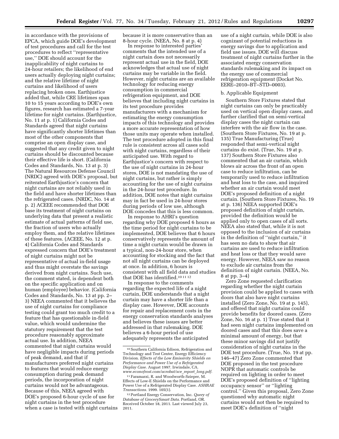in accordance with the provisions of EPCA, which guide DOE's development of test procedures and call for the test procedures to reflect ''representative use,'' DOE should account for the inapplicability of night curtains to 24-hour retailers; the likelihood of end users actually deploying night curtains; and the relative lifetime of night curtains and likelihood of users replacing broken ones. Earthjustice added that, while CRE lifetimes span 10 to 15 years according to DOE's own figures, research has estimated a 7-year lifetime for night curtains. (Earthjustice, No. 11 at p. 1) California Codes and Standards agreed that night curtains have significantly shorter lifetimes than most of the other components that comprise an open display case, and suggested that any credit given to night curtains should be discounted because their effective life is short. (California Codes and Standards, No. 13 at p. 3) The Natural Resources Defense Council (NRDC) agreed with DOE's proposal, but reiterated Earthjustice's concern that night curtains are not reliably used in the field and have shorter lifetimes than the refrigerated cases. (NRDC, No. 14 at p. 2) ACEEE recommended that DOE base its treatment of night curtains on underlying data that present a realistic estimate of actual patterns of field use, the fraction of users who actually employ them, and the relative lifetimes of these features. (ACEEE, No. 12 at p. 4) California Codes and Standards expressed concern that DOE's treatment of night curtains might not be representative of actual in-field usage and thus might overstate the savings derived from night curtains. Such use, the comment stated, is dependent both on the specific application and on human (employee) behavior. (California Codes and Standards, No. 13 at pp. 2– 3) NEEA commented that it believes the use of night curtains for compliance testing could grant too much credit to a feature that has questionable in-field value, which would undermine the statutory requirement that the test procedure reasonably approximate actual use. In addition, NEEA commented that night curtains would have negligible impacts during periods of peak demand, and that if manufacturers preferred night curtains to features that would reduce energy consumption during peak demand periods, the incorporation of night curtains would not be advantageous. Because of this, NEEA agreed with DOE's proposed 6-hour cycle of use for night curtains in the test procedure when a case is tested with night curtains because it is more conservative than an 8-hour cycle. (NEEA, No. 8 at p. 4)

In response to interested parties' comments that the intended use of a night curtain does not necessarily represent actual use in the field, DOE acknowledges that actual use of night curtains may be variable in the field. However, night curtains are an available technology for reducing energy consumption in commercial refrigeration equipment, and DOE believes that including night curtains in its test procedure provides manufacturers with a mechanism for estimating the energy consumption impacts of this technology and provides a more accurate representation of how those units may operate when installed. The test procedure adopted in this final rule is consistent across all cases sold with night curtains, regardless of their anticipated use. With regard to Earthjustice's concern with respect to the use of night curtains in 24-hour stores, DOE is not mandating the use of night curtains, but rather is simply accounting for the use of night curtains in the 24-hour test procedure. In addition, DOE notes that night curtains may in fact be used in 24-hour stores during periods of low use, although DOE concedes that this is less common.

In response to AHRI's question regarding why DOE proposed 6 hours as the time period for night curtains to be implemented, DOE believes that 6 hours conservatively represents the amount of time a night curtain would be drawn in a typical, non-24-hour store, when accounting for stocking and the fact that not all night curtains can be deployed at once. In addition, 6 hours is consistent with all field data and studies that DOE has identified.10 11 12

In response to the comments regarding the expected life of a night curtain, DOE understands that a night curtain may have a shorter life than a display case. However, DOE accounts for repair and replacement costs in the energy conservation standards analyses and believes these issues are better addressed in that rulemaking. DOE believes a 6-hour period of use adequately represents the anticipated

use of a night curtain, while DOE is also cognizant of potential reductions in energy savings due to application and field use issues. DOE will discuss treatment of night curtains further in the associated energy conservation standards rulemaking and its impact on the energy use of commercial refrigeration equipment (Docket No. EERE–2010–BT–STD–0003).

#### b. Applicable Equipment

Southern Store Fixtures stated that night curtains can only be practicably used on vertical open display cases, and further clarified that on semi-vertical display cases the night curtain can interfere with the air flow in the case. (Southern Store Fixtures, No. 19 at p. 135) True Manufacturing (True) responded that semi-vertical night curtains do exist. (True, No. 19 at p. 137) Southern Store Fixtures also commented that an air curtain, which blows air across the front of an open case to reduce infiltration, can be temporarily used to reduce infiltration and heat loss to the case, and inquired whether an air curtain would meet DOE's proposed definition of a night curtain. (Southern Store Fixtures, No. 19 at p. 136) NEEA supported DOE's proposed definition of night curtain, provided the definition would be applied only to open cases of all sorts. NEEA also stated that, while it is not opposed to the inclusion of air curtains in the definition of ''night curtain,'' it has seen no data to show that air curtains are used to reduce infiltration and heat loss or that they would save energy. However, NEEA saw no reason to exclude air curtains from the definition of night curtain. (NEEA, No. 8 at pp. 3–4)

Zero Zone requested clarification regarding whether the night curtain provision could be applied to cases with doors that also have night curtains installed (Zero Zone, No. 19 at p. 145), and offered that night curtains could provide benefits for doored cases. (Zero Zone, No. 16 at p. 1) True stated that it had seen night curtains implemented on doored cases and that this does save a minimal amount of energy, but that these minor savings did not justify consideration of night curtains in the DOE test procedure. (True, No. 19 at pp. 146–47) Zero Zone commented that DOE proposed in the test procedure NOPR that automatic controls be required on lighting in order to meet DOE's proposed definition of ''lighting occupancy sensor'' or ''lighting control.'' Given this proposal, Zero Zone questioned why automatic night curtains would not then be required to meet DOE's definition of ''night

<sup>10</sup>Southern California Edison, Refrigeration and Technology and Test Center, Energy Efficiency Division. *Effects of the Low Emissivity Shields on Performance and Power Use of a Refrigerated Display Case.* August 1997. Irwindale, CA. *[www.econofrost.com/acrobat/sce](http://www.econofrost.com/acrobat/sce_report_long.pdf)*\_*report*\_*long.pdf.* 

<sup>11</sup>Faramarzi, R. and Woodworth-Szieper, M. Effects of Low-E Shields on the Performance and Power Use of a Refrigerated Display Case. *ASHRAE Transactions.* 1999. 105(1).

<sup>12</sup>Portland Energy Conservation, Inc. *Query of Database of GrocerySmart Data.* Portland, OR. Received October 18, 2011. Last viewed July 23, 2011.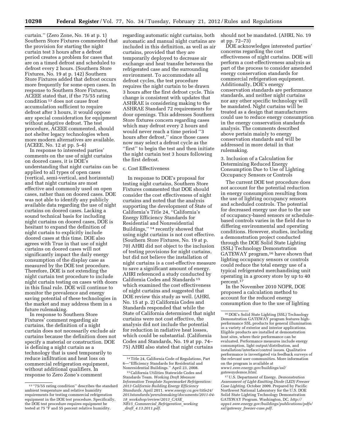curtain.'' (Zero Zone, No. 16 at p. 1) Southern Store Fixtures commented that the provision for starting the night curtain test 3 hours after a defrost period creates a problem for cases that are on a timed defrost and scheduled to defrost every 2 hours. (Southern Store Fixtures, No. 19 at p. 142) Southern Store Fixtures added that defrost occurs more frequently for some open cases. In response to Southern Store Fixtures, ACEEE stated that, if the 75/55 rating condition 13 does not cause frost accumulation sufficient to require defrost after 3 hours, it would oppose any special consideration for equipment without adaptive defrost. The test procedure, ACEEE commented, should not shelter legacy technologies when more modern alternatives are available. (ACEEE, No. 12 at pp. 5–6)

In response to interested parties' comments on the use of night curtains on doored cases, it is DOE's understanding that night curtains can be applied to all types of open cases (vertical, semi-vertical, and horizontal) and that night curtains are most effective and commonly used on open cases, rather than on doored cases. DOE was not able to identify any publicly available data regarding the use of night curtains on doored cases. Lacking a sound technical basis for including night curtains on doored cases, DOE is hesitant to expand the definition of night curtain to explicitly include doored cases at this time. DOE also agrees with True in that use of night curtains on doored cases will not significantly impact the daily energy consumption of the display case as measured by the DOE test procedure. Therefore, DOE is not extending the night curtain test procedure to include night curtain testing on cases with doors in this final rule. DOE will continue to monitor the prevalence and energy saving potential of these technologies in the market and may address them in a future rulemaking.

In response to Southern Store Fixtures' comment regarding air curtains, the definition of a night curtain does not necessarily exclude air curtains because the definition does not specify a material or construction. DOE is defining a night curtain as a technology that is used temporarily to reduce infiltration and heat loss on commercial refrigeration equipment, without additional qualifiers. In response to Zero Zone's comment

regarding automatic night curtains, both automatic and manual night curtains are included in this definition, as well as air curtains, provided that they are temporarily deployed to decrease air exchange and heat transfer between the refrigerated case and the surrounding environment. To accommodate all defrost cycles, the test procedure requires the night curtain to be drawn 3 hours after the first defrost cycle. This change is consistent with updates that ASHRAE is considering making to the ASHRAE Standard 72 requirements for door openings. This addresses Southern Store fixtures concern regarding cases which may defrost every 2 hours and would never reach a time period ''3 hours after defrost,'' since those cases now may select a defrost cycle as the ''first'' to begin the test and then initiate the night curtain test 3 hours following the first defrost.

#### c. Cost Effectiveness

In response to DOE's proposal for testing night curtains, Southern Store Fixtures commented that DOE should consider the cost effectiveness of night curtains and noted that the analysis supporting the development of State of California's Title 24, ''California's Energy Efficiency Standards for Residential and Nonresidential Buildings,'' 14 recently showed that using night curtains is not cost effective. (Southern Store Fixtures, No. 19 at p. 70) AHRI did not object to the inclusion of testing provisions for night curtains, but did not believe the installation of night curtains is a cost-effective measure to save a significant amount of energy. AHRI referenced a study conducted by California Codes and Standards 15 which examined the cost effectiveness of night curtains and suggested that DOE review this study as well. (AHRI, No. 15 at p. 2) California Codes and Standards responded that while the State of California determined that night curtains were not cost effective, the analysis did not include the potential for reduction in radiative heat losses, which could be substantial. (California Codes and Standards, No. 19 at pp. 74– 75) AHRI also stated that night curtains

should not be mandated. (AHRI, No. 19 at pp. 72–73)

DOE acknowledges interested parties' concerns regarding the cost effectiveness of night curtains. DOE will perform a cost-effectiveness analysis as part of the process to consider amended energy conservation standards for commercial refrigeration equipment. Additionally, DOE's energy conservation standards are performance standards, and neither night curtains nor any other specific technology will be mandated. Night curtains will be treated as a design that manufacturers could use to reduce energy consumption in the energy conservation standards analysis. The comments described above pertain mainly to energy conservation standards and will be addressed in more detail in that rulemaking.

3. Inclusion of a Calculation for Determining Reduced Energy Consumption Due to Use of Lighting Occupancy Sensors or Controls

The current DOE test procedure does not account for the potential reduction in energy consumption resulting from the use of lighting occupancy sensors and scheduled controls. The potential for decreased energy use due to the use of occupancy-based sensors or schedulebased controls varies in the field due to differing environmental and operating conditions. However, studies, including a demonstration project conducted through the DOE Solid State Lighting (SSL) Technology Demonstration GATEWAY program,16 have shown that lighting occupancy sensors or controls could reduce the total energy use of a typical refrigerated merchandising unit operating in a grocery store by up to 40 percent.<sup>17</sup>

In the November 2010 NOPR, DOE proposed a calculation method to account for the reduced energy consumption due to the use of lighting

17U.S. Department of Energy. *Demonstration Assessment of Light-Emitting Diode (LED) Freezer Case Lighting.* October 2009. Prepared by Pacific Northwest National Laboratory for the U.S. DOE Solid State Lighting Technology Demonstration GATEWAY Program. Washington, DC. *[http://](http://apps1.eere.energy.gov/buildings/publications/pdfs/ssl/gateway_freezer-case.pdf) [apps1.eere.energy.gov/buildings/publications/pdfs/](http://apps1.eere.energy.gov/buildings/publications/pdfs/ssl/gateway_freezer-case.pdf)  ssl/gateway*\_*[freezer-case.pdf.](http://apps1.eere.energy.gov/buildings/publications/pdfs/ssl/gateway_freezer-case.pdf)* 

<sup>13</sup> ''75/55 rating condition'' describes the standard ambient temperature and relative humidity requirements for testing commercial refrigeration equipment in the DOE test procedure. Specifically, the DOE test procedure requires equipment be tested at 75 °F and 55 percent relative humidity.

<sup>14</sup>Title 24, California Code of Regulations, Part 6—''Efficiency Standards for Residential and Nonresidential Buildings.'' April 23, 2008.

<sup>15</sup>California Utilities Statewide Codes and Standards Team. *Working Draft Measure Information Template Supermarket Refrigeration: 2013 California Building Energy Efficiency Standards.* April 2011. *[www.energy.ca.gov/title24/](http://www.energy.ca.gov/title24/2013standards/prerulemaking/documents/2011-04-18_workshop/review/2013_CASE_NR15_Commercial_Refrigeration_working_draft_4.13.2011.pdf)  [2013standards/prerulemaking/documents/2011-04-](http://www.energy.ca.gov/title24/2013standards/prerulemaking/documents/2011-04-18_workshop/review/2013_CASE_NR15_Commercial_Refrigeration_working_draft_4.13.2011.pdf) 18*\_*[workshop/review/2013](http://www.energy.ca.gov/title24/2013standards/prerulemaking/documents/2011-04-18_workshop/review/2013_CASE_NR15_Commercial_Refrigeration_working_draft_4.13.2011.pdf)*\_*CASE*\_ *NR15*\_*Commercial*\_*[Refrigeration](http://www.energy.ca.gov/title24/2013standards/prerulemaking/documents/2011-04-18_workshop/review/2013_CASE_NR15_Commercial_Refrigeration_working_draft_4.13.2011.pdf)*\_*working*

\_*draft*\_*[4.13.2011.pdf.](http://www.energy.ca.gov/title24/2013standards/prerulemaking/documents/2011-04-18_workshop/review/2013_CASE_NR15_Commercial_Refrigeration_working_draft_4.13.2011.pdf)* 

<sup>16</sup> DOE's Solid State Lighting (SSL) Technology Demonstration GATEWAY program features highperformance SSL products for general illumination in a variety of exterior and interior applications. Eligible products are installed at demonstration host sites, where their performance can be evaluated. Performance measures include energy consumption, light output/distribution, and installation/interface/control issues. Qualitative performance is investigated via feedback surveys of the relevant user communities. More information on the program is available at *[www1.eere.energy.gov/buildings/ssl/](http://www1.eere.energy.gov/buildings/ssl/gatewaydemos.html)  [gatewaydemos.html.](http://www1.eere.energy.gov/buildings/ssl/gatewaydemos.html)*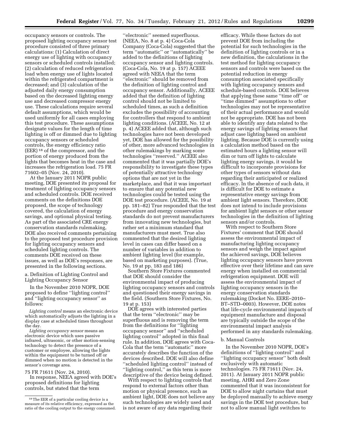occupancy sensors or controls. The proposed lighting occupancy sensor test procedure consisted of three primary calculations: (1) Calculation of direct energy use of lighting with occupancy sensors or scheduled controls installed; (2) calculation of reduced refrigeration load when energy use of lights located within the refrigerated compartment is decreased; and (3) calculation of the adjusted daily energy consumption based on the decreased lighting energy use and decreased compressor energy use. These calculations require several default assumptions, which would be used uniformly for all cases employing this test procedure. These assumptions designate values for the length of time lighting is off or dimmed due to lighting occupancy sensors or scheduled controls, the energy efficiency ratio (EER) 18 of the compressor, and the portion of energy produced from the lights that becomes heat in the case and increases the refrigeration load. 75 FR 71602–05 (Nov. 24, 2010).

At the January 2011 NOPR public meeting, DOE presented its proposal for treatment of lighting occupancy sensors and scheduled controls. DOE received comments on the definitions DOE proposed, the scope of technology covered, the calculation of energy savings, and optional physical testing. As part of the associated CRE energy conservation standards rulemaking, DOE also received comments pertaining to the proposed test procedure provision for lighting occupancy sensors and scheduled lighting controls. The comments DOE received on these issues, as well as DOE's responses, are presented in the following sections.

a. Definition of Lighting Control and Lighting Occupancy Sensor

In the November 2010 NOPR, DOE proposed to define ''lighting control'' and ''lighting occupancy sensor'' as follows:

*Lighting control* means an electronic device which automatically adjusts the lighting in a display case at scheduled times throughout the day.

*Lighting occupancy sensor* means an electronic device which uses passive infrared, ultrasonic, or other motion-sensing technology to detect the presence of a customer or employee, allowing the lights within the equipment to be turned off or dimmed when no motion is detected in the sensor's coverage area.

75 FR 71611 (Nov. 24, 2010).

In response, NEEA agreed with DOE's proposed definitions for lighting controls, but stated that the term

''electronic'' seemed superfluous. (NEEA, No. 8 at p. 4) Coca-Cola Company (Coca-Cola) suggested that the term ''automatic'' or ''automatically'' be added to the definitions of lighting occupancy sensor and lighting controls. (Coca-Cola, No. 19 at p. 157) ACEEE agreed with NEEA that the term ''electronic'' should be removed from the definition of lighting control and occupancy sensor. Additionally, ACEEE added that the definition of lighting control should not be limited to scheduled times, as such a definition excludes the possibility of accounting for controllers that respond to ambient lighting conditions. (ACEEE, No. 12 at p. 4) ACEEE added that, although such technologies have not been developed yet, DOE has allowed for the possibility of other, more advanced technologies in other rulemakings by marking some technologies ''reserved.'' ACEEE also commented that it was partially DOE's responsibility to investigate these types of potentially attractive technology options that are not yet in the marketplace, and that it was important to ensure that any potential new technologies could be tested using the DOE test procedure. (ACEEE, No. 19 at pp. 181–82) True responded that the test procedure and energy conservation standards do not prevent manufacturers from innovating new technologies, but rather set a minimum standard that manufacturers must meet. True also commented that the desired lighting level in cases can differ based on a number of variables in addition to ambient lighting level (for example, based on marketing purposes). (True, No. 19 at pp. 183 and 186)

Southern Store Fixtures commented that DOE should consider the environmental impact of producing lighting occupancy sensors and controls and questioned their energy savings in the field. (Southern Store Fixtures, No. 19 at p. 153)

DOE agrees with interested parties that the term ''electronic'' may be superfluous and is removing the term from the definitions for ''lighting occupancy sensor'' and ''scheduled lighting control'' adopted in this final rule. In addition, DOE agrees with Coca-Cola that the term ''automatic'' more accurately describes the function of the devices described. DOE will also define ''scheduled lighting control'' instead of "lighting control," as this term is more descriptive of the device being defined.

With respect to lighting controls that respond to external factors other than motion or physical presence, such as ambient light, DOE does not believe any such technologies are widely used and is not aware of any data regarding their

efficacy. While these factors do not prevent DOE from including the potential for such technologies in the definition of lighting controls or in a new definition, the calculations in the test method for lighting occupancy sensors and controls were based on the potential reduction in energy consumption associated specifically with lighting occupancy sensors and schedule-based controls. DOE believes that applying these same ''time off'' or ''time dimmed'' assumptions to other technologies may not be representative of their actual performance and would not be appropriate. DOE has not been able to identify any data related to the energy savings of lighting sensors that adjust case lighting based on ambient lighting. Because DOE is currently using a calculation method based on the estimated hours a lighting sensor will dim or turn off lights to calculate lighting energy savings, it would be difficult to incorporate provisions for other types of sensors without data regarding their anticipated or realized efficacy. In the absence of such data, it is difficult for DOE to estimate a representative energy savings from ambient light sensors. Therefore, DOE does not intend to include provisions for ambient light sensors or other sensor technologies in the definition of lighting sensors and/or controls.

With respect to Southern Store Fixtures' comment that DOE should assess the environmental impact of manufacturing lighting occupancy sensors and weigh the impact against the achieved savings, DOE believes lighting occupancy sensors have proven effective over their lifetime and can save energy when installed on commercial refrigeration equipment. DOE will assess the environmental impact of lighting occupancy sensors in the energy conservation standards rulemaking (Docket No. EERE–2010– BT–STD–0003). However, DOE notes that life-cycle environmental impacts of equipment manufacture and disposal are typically outside the scope of the environmental impact analysis performed in any standards rulemaking.

### b. Manual Controls

In the November 2010 NOPR, DOE's definitions of ''lighting control'' and ''lighting occupancy sensor'' both dealt exclusively with automatic technologies. 75 FR 71611 (Nov. 24, 2011). At January 2011 NOPR public meeting, AHRI and Zero Zone commented that it was inconsistent for DOE to allow night curtains that must be deployed manually to achieve energy savings in the DOE test procedure, but not to allow manual light switches to

<sup>18</sup>The EER of a particular cooling device is a measure of its relative efficiency, expressed as the ratio of the cooling output to the energy consumed.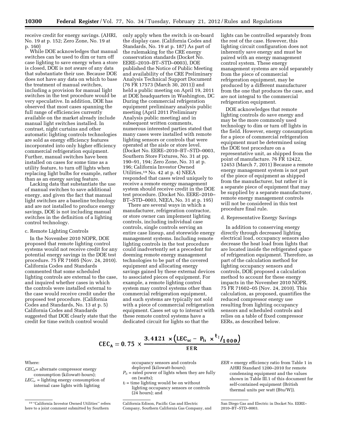receive credit for energy savings. (AHRI, No. 19 at p. 152; Zero Zone, No. 19 at p. 160)

While DOE acknowledges that manual switches can be used to dim or turn off case lighting to save energy when a store is closed, DOE is not aware of any data that substantiate their use. Because DOE does not have any data on which to base the treatment of manual switches, including a provision for manual light switches in the test procedure would be very speculative. In addition, DOE has observed that most cases spanning the full range of efficiencies currently available on the market already include manual light switches installed. In contrast, night curtains and other automatic lighting controls technologies are sold as energy efficiency features incorporated into only higher efficiency commercial refrigeration equipment. Further, manual switches have been installed on cases for some time as a utility feature, to turn off lights when replacing light bulbs for example, rather than as an energy saving feature.

Lacking data that substantiate the use of manual switches to save additional energy, and given the fact that manual light switches are a baseline technology and are not installed to produce energy savings, DOE is not including manual switches in the definition of a lighting control technology.

# c. Remote Lighting Controls

In the November 2010 NOPR, DOE proposed that remote lighting control systems would not receive credit for any potential energy savings in the DOE test procedure. 75 FR 71605 (Nov. 24, 2010). California Codes and Standards commented that some scheduled lighting controls are external to the case, and inquired whether cases in which the controls were installed external to the case would receive credit under the proposed test procedure. (California Codes and Standards, No. 13 at p. 5) California Codes and Standards suggested that DOE clearly state that the credit for time switch control would

only apply when the switch is on-board the display case. (California Codes and Standards, No. 19 at p. 187) As part of the rulemaking for the CRE energy conservation standards (Docket No. EERE–2010–BT–STD–0003), DOE published the Notice of Public Meeting and availability of the CRE Preliminary Analysis Technical Support Document (76 FR 17573 (March 30, 2011)) and held a public meeting on April 19, 2011 at DOE headquarters in Washington, DC During the commercial refrigeration equipment preliminary analysis public meeting (April 2011 Preliminary Analysis public meeting) and in subsequent written comments, numerous interested parties stated that many cases were installed with remote lighting sensors or controls that were operated at the aisle or store level. (Docket No. EERE–2010–BT–STD–0003, Southern Store Fixtures, No. 31 at pp. 190–91, 194; Zero Zone, No. 31 at p. 196; California Investor Owned Utilities,19 No. 42 at p. 4) NEEA responded that cases wired uniquely to receive a remote energy management system should receive credit in the DOE test procedure. (Docket No. EERE–2010– BT–STD–0003, NEEA, No. 31 at p. 195)

There are several ways in which a manufacturer, refrigeration contractor, or store owner can implement lighting controls, including individual case controls, single controls serving an entire case lineup, and storewide energy management systems. Including remote lighting controls in the test procedure could inadvertently set a precedent for deeming remote energy management technologies to be part of the covered equipment and allocating energy savings gained by these external devices to associated pieces of equipment. For example, a remote lighting control system may control systems other than commercial refrigeration equipment, and such systems are typically not sold with a piece of commercial refrigeration equipment. Cases set up to interact with these remote control systems have a dedicated circuit for lights so that the

lights can be controlled separately from the rest of the case. However, this lighting circuit configuration does not inherently save energy and must be paired with an energy management control system. These energy management systems are sold separately from the piece of commercial refrigeration equipment, may be produced by a different manufacturer from the one that produces the case, and are not integral to the commercial refrigeration equipment.

DOE acknowledges that remote lighting controls do save energy and may be the more commonly used technology to dim or turn off lights in the field. However, energy consumption for a piece of commercial refrigeration equipment must be determined using the DOE test procedure on a representative unit, as shipped from the point of manufacture. 76 FR 12422, 12453 (March 7, 2011) Because a remote energy management system is not part of the piece of equipment as shipped from the manufacturer, but rather it is a separate piece of equipment that may be supplied by a separate manufacturer, remote energy management controls will not be considered in this test procedure final rule.

# d. Representative Energy Savings

In addition to conserving energy directly through decreased lighting electrical load, occupancy sensors also decrease the heat load from lights that are located inside the refrigerated space of refrigeration equipment. Therefore, as part of the calculation method for lighting occupancy sensors and controls, DOE proposed a calculation method to account for these energy impacts in the November 2010 NOPR. 75 FR 71602–05 (Nov. 24, 2010). This calculation, as proposed, quantifies the reduced compressor energy use resulting from lighting occupancy sensors and scheduled controls and relies on a table of fixed compressor EERs, as described below.

# CEC<sub>A</sub> = 0.75  $\times \frac{3.4121 \times (LEC_{sc} - P_{li} \times t_1)}{EER}$

Where:

*CECA*= alternate compressor energy consumption (kilowatt-hours); *LECsc* = lighting energy consumption of internal case lights with lighting

occupancy sensors and controls deployed (kilowatt-hours);

- $P_{li}$  = rated power of lights when they are fully on (watts);
- $t_l$  = time lighting would be on without lighting occupancy sensors or controls (24 hours); and

<sup>19</sup> ''California Investor Owned Utilities'' refers here to a joint comment submitted by Southern

California Edison, Pacific Gas and Electric Company, Southern California Gas Company, and

*EER* = energy efficiency ratio from Table 1 in AHRI Standard 1200–2010 for remote condensing equipment and the values shown in Table III.1 of this document for self-contained equipment (British thermal units per watt (Btu/W)).

San Diego Gas and Electric in Docket No. EERE– 2010–BT–STD–0003.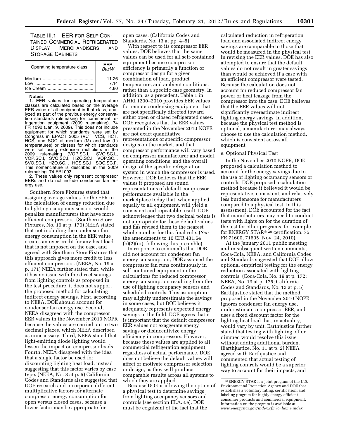TABLE III.1—EER FOR SELF-CON-TAINED COMMERCIAL REFRIGERATED DISPLAY MERCHANDISERS AND STORAGE CABINETS

| Operating temperature class | FFR<br>Btu/W |  |
|-----------------------------|--------------|--|
|                             | 11.26        |  |
| l ow                        | 7.14         |  |
|                             | 4.80         |  |

# **Notes:**

1. EER values for operating temperature classes are calculated based on the average EER value of all equipment in that class, analyzed as part of the previous energy conservation standards rulemaking for commercial refrigeration equipment (2009 rulemaking). 74 FR 1092 (Jan. 9, 2009). This does not include equipment for which standards were set by Congress in EPACT 2005 (VCT, VCS, HCT, HCS, and SOC at medium (M) and low (L) temperatures) or classes for which standards were set using extension multipliers in the 2009 rulemaking (VOP.SC.L, SVO.SC.L, VOP.SC.I, SVO.SC.I, HZO.SC.I, VOP.SC.I, SVO.SC.I, HZO.SC.I, HCS.SC.I, SOC.SC.I). This nomenclature is described in the 2009 rulemaking. 74 FR1093.

2. These values only represent compressor EERs and do not include condenser fan energy use.

Southern Store Fixtures stated that assigning average values for the EER in the calculation of energy reduction due to lighting occupancy sensors would penalize manufacturers that have more efficient compressors. (Southern Store Fixtures, No. 19 at p. 170) NEEA stated that not including the condenser fan energy consumption in the EER value creates an over-credit for any heat load that is not imposed on the case, and agreed with Southern Store Fixtures that this approach gives more credit to less efficient compressors. (NEEA, No. 19 at p. 171) NEEA further stated that, while it has no issue with the direct savings from lighting controls as proposed in the test procedure, it does not support the proposed method for calculating indirect energy savings. First, according to NEEA, DOE should account for condenser fan energy use. Second, NEEA disagreed with the compressor EER values in the November 2010 NOPR because the values are carried out to two decimal places, which NEEA described as unnecessary. Third, NEEA stated that light-emitting diode lighting would lessen the impact on compressor loads. Fourth, NEEA disagreed with the idea that a single factor be used for discounting lighting heat load, instead suggesting that this factor varies by case type. (NEEA, No. 8 at p. 5) California Codes and Standards also suggested that DOE research and incorporate different multiplicative factors for alternate compressor energy consumption for open versus closed cases, because a lower factor may be appropriate for

open cases. (California Codes and Standards, No. 13 at pp. 4–5)

With respect to its compressor EER values, DOE believes that the same values can be used for all self-contained equipment because compressor efficiency is primarily a function of compressor design for a given combination of load, product temperature, and ambient conditions, rather than a specific case geometry. In addition, as a precedent, Table 1 in AHRI 1200–2010 provides EER values for remote condensing equipment that are not specifically directed toward either open or closed refrigerated cases. DOE recognizes that the EER values presented in the November 2010 NOPR are not exact quantitative representations of specific compressor designs on the market, and that compressor performance will vary based on compressor manufacturer and model, operating conditions, and the overall design of the specific refrigeration system in which the compressor is used. However, DOE believes that the EER values it proposed are sound representations of default compressor performance available in the marketplace today that, when applied equally to all equipment, will yield a consistent and repeatable result. DOE acknowledges that two decimal points is not appropriate for these default values and has revised them to the nearest whole number for this final rule. (*See*  the amendments to 10 CFR 431.64 (b)(2)(iii), following this preamble).

In response to comments that DOE did not account for condenser fan energy consumption, DOE assumed the compressor fan runs continuously in self-contained equipment in the calculations for reduced compressor energy consumption resulting from the use of lighting occupancy sensors and scheduled controls. This assumption may slightly underestimate the savings in some cases, but DOE believes it adequately represents expected energy savings in the field. DOE agrees that it is important that the default compressor EER values not exaggerate energy savings or disincentivize energy efficiency in compressors. However, because these values are applied to all commercial refrigeration equipment, regardless of actual performance, DOE does not believe the default values will affect or motivate compressor selection or design, as they will produce comparable results across all systems to which they are applied.

Because DOE is allowing the option of a physical test to determine savings from lighting occupancy sensors and controls (see section III.A.3.e), DOE must be cognizant of the fact that the

calculated reduction in refrigeration load and associated indirect energy savings are comparable to those that would be measured in the physical test. In revising the EER values, DOE has also attempted to ensure that the default values do not result in greater savings than would be achieved if a case with an efficient compressor were tested. Because the calculation does not account for reduced compressor fan power or heat leakage from the compressor into the case, DOE believes that the EER values will not significantly overestimate indirect lighting energy savings. In addition, because the physical test method is optional, a manufacturer may always choose to use the calculation method, which is consistent across all equipment.

#### e. Optional Physical Test

In the November 2010 NOPR, DOE proposed a calculation method to account for the energy savings due to the use of lighting occupancy sensors or controls. DOE proposed a calculation method because it believed it would be representative, consistent, and relatively less burdensome for manufacturers compared to a physical test. In this assessment, DOE accounted for the fact that manufacturers may need to conduct tests with lights on for the duration of the test for other programs, for example for ENERGY STAR® 20 certification. 75 FR 71600, 71605 (Nov. 24, 2010).

At the January 2011 public meeting and in subsequent written comments, Coca-Cola, NEEA, and California Codes and Standards suggested that DOE allow optional empirical testing for the energy reduction associated with lighting controls. (Coca-Cola, No. 19 at p. 172; NEEA, No. 19 at p. 175; California Codes and Standards, No. 13 at p. 5) Earthjustice stated that the method proposed in the November 2010 NOPR ignores condenser fan energy use, underestimates compressor EER, and uses a fixed discount factor for the lighting heat load that, in actuality, would vary by unit. Earthjustice further stated that testing with lighting off or dimmed would resolve this issue without adding additional burden. (Earthjustice, No. 11 at p. 2) NEEA agreed with Earthjustice and commented that actual testing of lighting controls would be a superior way to account for their impacts, and

<sup>20</sup>ENERGY STAR is a joint program of the U.S. Environmental Protection Agency and DOE that establishes a voluntary rating, certification, and labeling program for highly energy efficient consumer products and commercial equipment. Information on the program is available at *[www.energystar.gov/index.cfm?c=home.index](http://www.energystar.gov/index.cfm?c=home.index)*.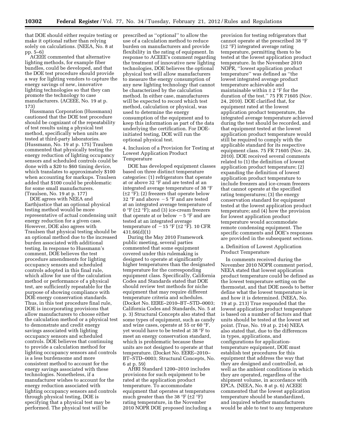that DOE should either require testing or make it optional rather than relying solely on calculations. (NEEA, No. 8 at pp. 5–6)

ACEEE commented that alternative lighting methods, for example fiber bundles, could be developed, and that the DOE test procedure should provide a way for lighting vendors to capture the energy savings of new, innovative lighting technologies so that they can promote the technology to case manufacturers. (ACEEE, No. 19 at p. 173)

Hussmann Corporation (Hussmann) cautioned that the DOE test procedure should be cognizant of the repeatability of test results using a physical test method, specifically when units are tested at third-party laboratories. (Hussmann, No. 19 at p. 175) Traulsen commented that physically testing the energy reduction of lighting occupancy sensors and scheduled controls could be done with a \$20 to \$60 timing device, which translates to approximately \$100 when accounting for markups. Traulsen added that \$100 could be problematic for some small manufacturers. (Traulsen, No. 19 at p. 177)

DOE agrees with NEEA and Earthjustice that an optional physical testing method would be more representative of actual condensing unit energy reduction for a given case. However, DOE also agrees with Traulsen that physical testing should be an optional method due to the increased burden associated with additional testing. In response to Hussmann's comment, DOE believes the test procedure amendments for lighting occupancy sensors and scheduled controls adopted in this final rule, which allow for use of the calculation method or performance of a physical test, are sufficiently repeatable for the purpose of showing compliance with DOE energy conservation standards. Thus, in this test procedure final rule, DOE is incorporating provisions that allow manufacturers to choose either the calculation method or a physical test to demonstrate and credit energy savings associated with lighting occupancy sensors and scheduled controls. DOE believes that continuing to provide a calculation method for lighting occupancy sensors and controls is a less burdensome and more consistent method to account for the energy savings associated with these technologies. Nonetheless, if a manufacturer wishes to account for the energy reduction associated with lighting occupancy sensors and controls through physical testing, DOE is specifying that a physical test may be performed. The physical test will be

prescribed as ''optional'' to allow the use of a calculation method to reduce burden on manufacturers and provide flexibility in the rating of equipment. In response to ACEEE's comment regarding the treatment of innovative new lighting technologies, DOE believes the optional physical test will allow manufacturers to measure the energy consumption of any new lighting technology that cannot be characterized by the calculation method. In either case, manufacturers will be expected to record which test method, calculation or physical, was used to determine the energy consumption of the equipment and to keep this information as part of the data underlying the certification. For DOEinitiated testing, DOE will run the optional physical test.

# 4. Inclusion of a Provision for Testing at Lowest Application Product Temperature

DOE has developed equipment classes based on three distinct temperature categories: (1) refrigerators that operate at or above 32 °F and are tested at an integrated average temperature of 38 °F  $(\pm 2 \degree F)$ ; (2) freezers that operate below 32 °F and above  $-5$  °F and are tested at an integrated average temperature of 0 °F ( $\pm$ 2 °F); and (3) ice-cream freezers that operate at or below  $-5$  °F and are tested at an integrated average temperature of  $-15 \text{ }^\circ \text{F}$  (±2  $\text{ }^\circ \text{F}$ ). 10 CFR 431.66(d)(1)

During the May 2010 Framework public meeting, several parties commented that some equipment covered under this rulemaking is designed to operate at significantly higher temperatures than the designated temperature for the corresponding equipment class. Specifically, California Codes and Standards stated that DOE should review test methods for niche equipment that may require different temperature criteria and schedules. (Docket No. EERE–2010–BT–STD–0003; California Codes and Standards, No. 5 at p. 3) Structural Concepts also stated that some types of equipment, such as candy and wine cases, operate at 55 or 60 °F, yet would have to be tested at 38 °F to meet an energy conservation standard, which is problematic because these units are not designed to operate at that temperature. (Docket No. EERE–2010– BT–STD–0003; Structural Concepts, No. 6 at p. 59)

AHRI Standard 1200–2010 includes provisions for such equipment to be rated at the application product temperature. To accommodate equipment that operates at temperatures much greater than the 38  $\mathrm{F}$  ( $\pm 2 \mathrm{F}$ ) rating temperature, in the November 2010 NOPR DOE proposed including a

provision for testing refrigerators that cannot operate at the prescribed 38 °F (±2 °F) integrated average rating temperature, permitting them to be tested at the lowest application product temperature. In the November 2010 NOPR, ''lowest application product temperature'' was defined as ''the lowest integrated average product temperature achievable and maintainable within  $\pm$  2 °F for the duration of the test.'' 75 FR 71605 (Nov. 24, 2010). DOE clarified that, for equipment rated at the lowest application product temperature, the integrated average temperature achieved during the test should be recorded, and that equipment tested at the lowest application product temperature would still be required to comply with the applicable standard for its respective equipment class. 75 FR 71605 (Nov. 24, 2010). DOE received several comments related to (1) the definition of lowest application product temperature; (2) expanding the definition of lowest application product temperature to include freezers and ice-cream freezers that cannot operate at the specified rating temperatures; (3) the energy conservation standard for equipment tested at the lowest application product temperature; and (4) how the provision for lowest application product temperature would accommodate remote condensing equipment. The specific comments and DOE's responses are provided in the subsequent sections.

# a. Definition of Lowest Application Product Temperature

In comments received during the November 2010 NOPR comment period, NEEA stated that lowest application product temperature could be defined as the lowest temperature setting on the thermostat, and that DOE needs to better define what the lowest temperature is and how it is determined. (NEEA, No. 19 at p. 213) True responded that the lowest application product temperature is based on a number of factors and that units should be tested at the lowest set point. (True, No. 19 at p. 214) NEEA also stated that, due to the differences in types, applications, and configurations for applicationtemperature equipment, DOE must establish test procedures for this equipment that address the way that they are designed and controlled, as well as the ambient conditions in which they are operated, regardless of the shipment volume, in accordance with EPCA. (NEEA, No. 8 at p. 6) ACEEE commented that the lowest application temperature should be standardized, and inquired whether manufacturers would be able to test to any temperature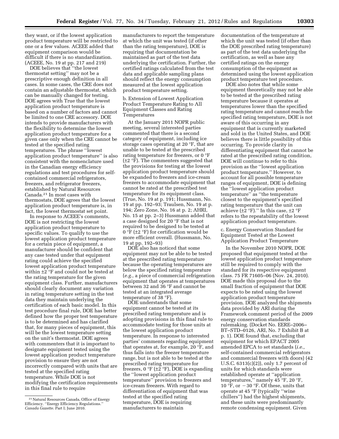they want, or if the lowest application product temperature will be restricted to one or a few values. ACEEE added that equipment comparison would be difficult if there is no standardization. (ACEEE, No. 19 at pp. 217 and 219)

DOE believes that ''the lowest thermostat setting'' may not be a prescriptive enough definition in all cases. In some cases, the CRE does not contain an adjustable thermostat, which can be manually changed for testing. DOE agrees with True that the lowest application product temperature is based on a number of factors and cannot be limited to one CRE accessory. DOE intends to provide manufacturers with the flexibility to determine the lowest application product temperature for a given case only when the CRE cannot be tested at the specified rating temperatures. The phrase ''lowest application product temperature'' is also consistent with the nomenclature used in the Canadian energy efficiency regulations and test procedures for selfcontained commercial refrigerators, freezers, and refrigerator freezers, established by Natural Resources Canada.21 In most cases with thermostats, DOE agrees that the lowest application product temperature is, in fact, the lowest thermostat set point.

In response to ACEEE's comments, DOE is not restricting the lowest application product temperature to specific values. To qualify to use the lowest application product temperature for a certain piece of equipment, a manufacturer should be confident that any case tested under that equipment rating could achieve the specified lowest application product temperature within ±2 °F and could not be tested at the rating temperature for the given equipment class. Further, manufacturers should clearly document any variation in rating temperature setting in the test data they maintain underlying the certification of each basic model. In this test procedure final rule, DOE has better defined how the proper test temperature is to be determined and has clarified that, for many pieces of equipment, this will be the lowest temperature setting on the unit's thermostat. DOE agrees with commenters that it is important to designate equipment tested using the lowest application product temperature provision to ensure they are not incorrectly compared with units that are tested at the specified rating temperature. While DOE is not modifying the certification requirements in this final rule to require

manufacturers to report the temperature at which the unit was tested (if other than the rating temperature), DOE is requiring that documentation be maintained as part of the test data underlying the certification. Further, the certified ratings calculated from the test data and applicable sampling plans should reflect the energy consumption measured at the lowest application product temperature setting.

b. Extension of Lowest Application Product Temperature Rating to All Equipment Classes and Rating Temperatures

At the January 2011 NOPR public meeting, several interested parties commented that there is a second category of equipment, including ice storage cases operating at 20 °F, that are unable to be tested at the prescribed rating temperature for freezers, or 0 °F (±2 °F). The commenters suggested that the provisions for testing at the lowest application product temperature should be expanded to freezers and ice-cream freezers to accommodate equipment that cannot be rated at the prescribed test temperature for its equipment class. (True, No. 19 at p. 191; Hussmann, No. 19 at pp. 192–93; Traulsen, No. 19 at p. 194; Zero Zone, No. 16 at p. 2; AHRI, No. 15 at pp. 2–3) Hussmann added that a case designed for 20 °F that is not required to be designed to be tested at 0 °F ( $\pm$ 2 °F) for certification would be more efficient overall. (Hussmann, No. 19 at pp. 192–93)

DOE also has noticed that some equipment may not be able to be tested at the prescribed rating temperature because the operating temperatures are below the specified rating temperature (*e.g.,* a piece of commercial refrigeration equipment that operates at temperatures between 32 and 36 °F and cannot be tested at an integrated average temperature of 38 °F).

DOE understands that some equipment cannot be tested at its prescribed rating temperature and is adopting provisions in this final rule to accommodate testing for those units at the lowest application product temperature. In response to interested parties' comments regarding equipment that operates at, for example, 20 °F, and thus falls into the freezer temperature range, but is not able to be tested at the prescribed rating temperature for freezers,  $0 \text{ }^{\circ}F$  ( $\pm 2 \text{ }^{\circ}F$ ), DOE is expanding the ''lowest application product temperature'' provision to freezers and ice-cream freezers. With regard to differentiation of equipment that was tested at the specified rating temperature, DOE is requiring manufacturers to maintain

documentation of the temperature at which the unit was tested (if other than the DOE prescribed rating temperature) as part of the test data underlying the certification, as well as base any certified ratings on the energy consumption of the equipment as determined using the lowest application product temperature test procedure.

DOE also notes that while some equipment theoretically may not be able to be tested at the prescribed rating temperature because it operates at temperatures lower than the specified rating temperature and cannot reach the specified rating temperature, DOE is not aware of this occurring in any equipment that is currently marketed and sold in the United States, and DOE believes there is little possibility of this occurring. To provide clarity in differentiating equipment that cannot be rated at the prescribed rating condition, DOE will continue to refer to this provision as the ''lowest application product temperature.'' However, to account for all possible temperature ranges of equipment, DOE is defining the ''lowest application product temperature'' as ''the temperature closest to the equipment's specified rating temperature that the unit can achieve ( $\pm 2$  °F)." In this case,  $\pm 2$  °F refers to the repeatability of the lowest application product temperature.

c. Energy Conservation Standard for Equipment Tested at the Lowest Application Product Temperature

In the November 2010 NOPR, DOE proposed that equipment tested at the lowest application product temperature still be required to comply with the standard for its respective equipment class. 75 FR 71605–06 (Nov. 24, 2010). DOE made this proposal due to the small fraction of equipment that DOE expects to be rated using the lowest application product temperature provision. DOE analyzed the shipments data provided by ARI during the Framework comment period of the 2009 energy conservation standards rulemaking. (Docket No. EERE–2006– BT–STD–0126, ARI, No. 7 Exhibit B at p. 1). DOE found that, excluding that equipment for which EPACT 2005 amended EPCA to set standards (*i.e.,*  self-contained commercial refrigerators and commercial freezers with doors) (42 U.S.C. 6313(c)(2)), only 1.7 percent of units for which standards were established operate at ''application temperatures," namely 45 °F, 20 °F,<br>10 °F, or  $-30$  °F. Of these, units that operate at 45 °F (typically ''wine chillers'') had the highest shipments, and these units were predominantly remote condensing equipment. Given

<sup>21</sup>Natural Resources Canada, Office of Energy Efficiency. ''Energy Efficiency Regulations.'' *Canada Gazette.* Part I; June 2010.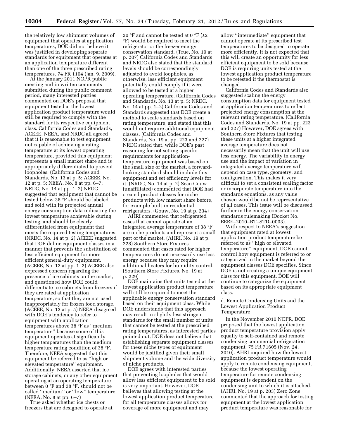the relatively low shipment volumes of equipment that operates at application temperatures, DOE did not believe it was justified in developing separate standards for equipment that operates at an application temperature different than one of the three prescribed rating temperatures. 74 FR 1104 (Jan. 9, 2009).

At the January 2011 NOPR public meeting and in written comments submitted during the public comment period, many interested parties commented on DOE's proposal that equipment tested at the lowest application product temperature would still be required to comply with the standard for its respective equipment class. California Codes and Standards, ACEEE, NEEA, and NRDC all agreed that it is reasonable to test equipment not capable of achieving a rating temperature at its lowest operating temperature, provided this equipment represents a small market share and is appropriately differentiated to prevent loopholes. (California Codes and Standards, No. 13 at p. 5; ACEEE, No. 12 at p. 5; NEEA, No. 8 at pp. 6–7; NRDC, No. 14 at pp. 1–2) NRDC suggested that equipment that cannot be tested below 38 °F should be labeled and sold with its projected annual energy consumption data indicating the lowest temperature achievable during testing, and should be clearly differentiated from equipment that meets the required testing temperatures. (NRDC, No. 14 at p. 2) ACEEE suggested that DOE define equipment classes in a manner that prevents the substitution of less efficient equipment for more efficient general-duty equipment. (ACEEE, No. 12 at pp. 1–2) ACEEE also expressed concern regarding the presence of ice cabinets on the market, and questioned how DOE could differentiate ice cabinets from freezers if they are rated at application temperature, so that they are not used inappropriately for frozen food storage. (ACEEE, No. 12 at p. 5) NEEA disagreed with DOE's tendency to refer to equipment with application temperatures above 38 °F as ''medium temperature'' because some of this equipment operates at significantly higher temperatures than the medium temperature rating condition of 38 °F. Therefore, NEEA suggested that this equipment be referred to as ''high or elevated temperature'' equipment. Additionally, NEEA asserted that ice storage cabinets, or any other equipment operating at an operating temperature between 0 °F and 38 °F, should not be called ''medium'' or ''low'' temperature. (NEEA, No. 8 at pp. 6–7)

True asked whether ice chests or freezers that are designed to operate at

20 °F and cannot be tested at 0 °F ( $\pm$ 2 °F) would be required to meet the refrigerator or the freezer energy conservation standard. (True, No. 19 at p. 207) California Codes and Standards and NRDC also stated that the standard levels should be correspondingly adjusted to avoid loopholes, as otherwise, less efficient equipment potentially could comply if it were allowed to be tested at a higher operating temperature. (California Codes and Standards, No. 13 at p. 5; NRDC, No. 14 at pp. 1–2) California Codes and Standards suggested that DOE create a method to scale standards based on rating temperature, and stated that this would not require additional equipment classes. (California Codes and Standards, No. 19 at pp. 223 and 227) NRDC stated that, while DOE's past reasoning for not setting specific requirements for applicationtemperature equipment was based on the small size of the market, a forwardlooking standard should include this equipment and set efficiency levels for it. (NRDC, No. 14 at p. 2) Sean Gouw (unaffiliated) commented that DOE had created product classes for niche products with low market share before, for example built-in residential refrigerators. (Gouw, No. 19 at p. 234)

AHRI commented that refrigerated cases that cannot operate at an integrated average temperature of 38 °F are niche products and represent a small part of the market. (AHRI, No. 19 at p. 228) Southern Store Fixtures commented that cases rated for higher temperatures do not necessarily use less energy because they may require additional heaters for humidity control. (Southern Store Fixtures, No. 19 at p. 229)

DOE maintains that units tested at the lowest application product temperature will still be required to meet the applicable energy conservation standard based on their equipment class. While DOE understands that this approach may result in slightly less stringent standards for the small number of units that cannot be tested at the prescribed rating temperatures, as interested parties pointed out, DOE does not believe that establishing separate equipment classes for these niche types of equipment would be justified given their small shipment volume and the wide diversity of niche products.

DOE agrees with interested parties that preventing loopholes that would allow less efficient equipment to be sold is very important. However, DOE believes that allowing testing at the lowest application product temperature for all temperature classes allows for coverage of more equipment and may

allow ''intermediate'' equipment that cannot operate at its prescribed test temperatures to be designed to operate more efficiently. It is not expected that this will create an opportunity for less efficient equipment to be sold because DOE is requiring units tested at the lowest application product temperature to be retested if the thermostat is changed.

California Codes and Standards also suggested scaling the energy consumption data for equipment tested at application temperatures to reflect projected energy consumption at the relevant rating temperature. (California Codes and Standards, No. 19 at pp. 223 and 227) However, DOE agrees with Southern Store Fixtures that testing these units at a higher integrated average temperature does not necessarily mean that the unit will use less energy. The variability in energy use and the impact of variation in integrated average temperature will depend on case type, geometry, and configuration. This makes it very difficult to set a consistent scaling factor or incorporate temperature into the standards equations, as any value chosen would be not be representative of all cases. This issue will be discussed further in the energy conservation standards rulemaking (Docket No. EERE–2010–BT–STD–0003).

With respect to NEEA's suggestion that equipment rated at lowest application product temperature be referred to as ''high or elevated temperature'' equipment, DOE cannot control how equipment is referred to or categorized in the market beyond the equipment classes DOE specifies. Since DOE is not creating a unique equipment class for this equipment, DOE will continue to categorize the equipment based on its appropriate equipment class.

### d. Remote Condensing Units and the Lowest Application Product Temperature

In the November 2010 NOPR, DOE proposed that the lowest application product temperature provision apply equally to self-contained and remote condensing commercial refrigeration equipment. 75 FR 71605 (Nov. 24, 2010). AHRI inquired how the lowest application product temperature would apply to remote condensing equipment, because the lowest operating temperature for remote condensing equipment is dependent on the condensing unit to which it is attached. (AHRI, No. 19 at p. 203) Zero Zone commented that the approach for testing equipment at the lowest application product temperature was reasonable for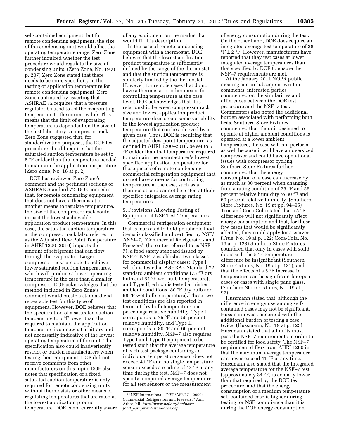self-contained equipment, but for remote condensing equipment, the size of the condensing unit would affect the operating temperature range. Zero Zone further inquired whether the test procedure would regulate the size of condensing units. (Zero Zone, No. 19 at p. 207) Zero Zone stated that there needs to be more specificity in the testing of application temperature for remote condensing equipment. Zero Zone continued by asserting that ASHRAE 72 requires that a pressure regulator be used to set the evaporating temperature to the correct value. This means that the limit of evaporating temperature is dependent on the size of the test laboratory's compressor rack. Zero Zone suggested that, for standardization purposes, the DOE test procedure should require that the saturated suction temperature be set to 5 °F colder than the temperature needed to maintain the application temperature. (Zero Zone, No. 16 at p. 2)

DOE has reviewed Zero Zone's comment and the pertinent sections of ASHRAE Standard 72. DOE concedes that, for remote condensing equipment that does not have a thermostat or another means to regulate temperature, the size of the compressor rack could impact the lowest achievable application product temperature. In this case, the saturated suction temperature at the compressor rack (also referred to as the Adjusted Dew Point Temperature in AHRI 1200–2010) impacts the amount of refrigerant that can flow through the evaporator. Larger compressor racks are able to achieve lower saturated suction temperatures, which will produce a lower operating temperature in the case than a smaller compressor. DOE acknowledges that the method included in Zero Zone's comment would create a standardized repeatable test for this type of equipment. However, DOE believes that the specification of a saturated suction temperature to 5 °F lower than that required to maintain the application temperature is somewhat arbitrary and not necessarily indicative of the lowest operating temperature of the unit. This specification also could inadvertently restrict or burden manufacturers when testing their equipment. DOE did not receive comments from other manufacturers on this topic. DOE also notes that specification of a fixed saturated suction temperature is only required for remote condensing units without thermostats or other means of regulating temperatures that are rated at the lowest application product temperature. DOE is not currently aware of any equipment on the market that would fit this description.

In the case of remote condensing equipment with a thermostat, DOE believes that the lowest application product temperature is sufficiently defined by the range of the thermostat and that the suction temperature is similarly limited by the thermostat. However, for remote cases that do not have a thermostat or other means for controlling temperature at the case level, DOE acknowledges that this relationship between compressor rack size and lowest application product temperature does create some variability in the lowest application product temperature that can be achieved by a given case. Thus, DOE is requiring that the adjusted dew point temperature, as defined in AHRI 1200–2010, be set to 5 °F colder than that temperature required to maintain the manufacturer's lowest specified application temperature for those pieces of remote condensing commercial refrigeration equipment that do not have a means for controlling temperature at the case, such as a thermostat, and cannot be tested at their specified integrated average rating temperatures.

5. Provisions Allowing Testing of Equipment at NSF Test Temperatures

Commercial refrigeration equipment that is marketed to hold perishable food items is classified and certified by NSF/ ANSI–7, ''Commercial Refrigerators and Freezers'' (hereafter referred to as NSF– 7), a food safety standard issued by NSF.22 NSF–7 establishes two classes for commercial display cases: Type I, which is tested at ASHRAE Standard 72 standard ambient conditions (75 °F dry bulb and 64 °F wet bulb temperature), and Type II, which is tested at higher ambient conditions (80 °F dry bulb and 68 °F wet bulb temperature). These two test conditions are also reported in terms of dry bulb temperature and percentage relative humidity. Type I corresponds to 75 °F and 55 percent relative humidity, and Type II corresponds to 80 °F and 60 percent relative humidity. NSF–7 also requires Type I and Type II equipment to be tested such that the average temperature of each test package containing an individual temperature sensor does not exceed 41 °F and no single temperature sensor exceeds a reading of 43 °F at any time during the test. NSF–7 does not specify a required average temperature for all test sensors or the measurement

of energy consumption during the test. On the other hand, DOE does require an integrated average test temperature of 38 °F ± 2 °F. However, manufacturers have reported that they test cases at lower integrated average temperatures than that specified by DOE to ensure the NSF–7 requirements are met.

At the January 2011 NOPR public meeting and in subsequent written comments, interested parties commented on the similarities and differences between the DOE test procedure and the NSF–7 test. Commenters also noted the additional burden associated with performing both tests. Southern Store Fixtures commented that if a unit designed to operate at higher ambient conditions is operated at a lower ambient temperature, the case will not perform as well because it will have an oversized compressor and could have operational issues with compressor cycling. Southern Store Fixtures further commented that the energy consumption of a case can increase by as much as 30 percent when changing from a rating condition of 75 °F and 55 percent relative humidity to 80 °F and 60 percent relative humidity. (Southern Store Fixtures, No. 19 at pp. 94–95) True and Coca-Cola stated that a 5 °F difference will not significantly affect energy consumption and that, for those few cases that would be significantly affected, they could apply for a waiver. (True, No. 19 at p. 122; Coca-Cola, No. 19 at p. 123) Southern Store Fixtures countered that only in cases with solid doors will the 5 °F temperature difference be insignificant (Southern Store Fixtures, No. 19 at p. 131), and that the effects of a 5 °F increase in temperature can be significant for open cases or cases with single pane glass. (Southern Store Fixtures, No. 19 at p. 97)

Hussmann stated that, although the difference in energy use among selfcontained cases may not be significant, Hussmann was concerned with the additional burden of testing a case twice. (Hussmann, No. 19 at p. 123) Hussmann stated that all units must pass the NSF–7 requirements in order to be certified for food safety. The NSF–7 requirement differs from AHRI 1200 in that the maximum average temperature can never exceed 41 °F at any time. Hussmann also stated that the integrated average temperature for the NSF–7 test (approximately 34 °F) is actually lower than that required by the DOE test procedure, and that the energy consumption of a medium temperature self-contained case is higher during testing for NSF compliance than it is during the DOE energy consumption

<sup>22</sup>NSF International. ''NSF/ASNI 7—2009: Commercial Refrigerators and Freezers.'' Ann Arbor, MI. *[http://www.nsf.org/business/](http://www.nsf.org/business/food_equipment/standards.asp)  food*\_*[equipment/standards.asp](http://www.nsf.org/business/food_equipment/standards.asp)*.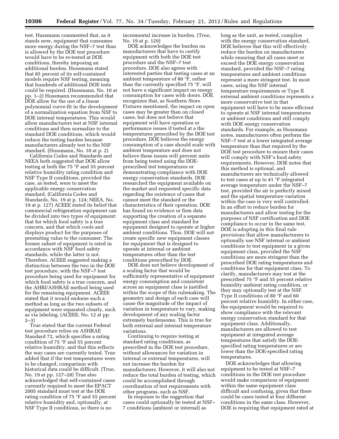test. Hussmann commented that, as it stands now, equipment that consumes more energy during the NSF–7 test than is allowed by the DOE test procedure would have to be re-tested at DOE conditions, thereby imposing an additional burden. Hussmann stated that 85 percent of its self-contained models require NSF testing, meaning that hundreds of additional DOE tests could be required. (Hussmann, No. 10 at pp. 1–2) Hussmann recommended that DOE allow for the use of a linear polynomial curve-fit in the development of a normalization equation from NSF to DOE internal temperatures. This would allow manufacturers test at NSF internal conditions and then normalize to the standard DOE conditions, which would reduce the testing burden because manufacturers already test to the NSF standard. (Hussmann, No. 10 at p. 2)

California Codes and Standards and NEEA both suggested that DOE allow testing at both the 75 °F and 55 percent relative humidity rating condition and NSF Type II conditions, provided the case, as tested, were to meet the applicable energy conservation standard. (California Codes and Standards, No. 19 at p. 124; NEEA, No. 19 at p. 127) ACEEE stated its belief that commercial refrigeration equipment can be divided into two types of equipment: that for which food safety is a true concern, and that which cools and displays product for the purposes of presenting value to the consumer. The former subset of equipment is rated in accordance with NSF food safety standards, while the latter is not. Therefore, ACEEE suggested making a distinction between the two in the DOE test procedure, with the NSF–7 test procedure being used for equipment for which food safety is a true concern, and the AHRI/ASHRAE method being used for the remaining equipment. ACEEE stated that it would endorse such a method as long as the two subsets of equipment were separated clearly, such as via labeling. (ACEEE, No. 12 at pp. 2–3)

True stated that the current Federal test procedure relies on ASHRAE Standard 72, which specifies a rating condition of 75 °F and 55 percent relative humidity, and that this reflects the way cases are currently tested. True added that if the test temperatures were to be changed, comparison with historical data could be difficult. (True, No. 19 at pp. 127–28) True also acknowledged that self-contained cases currently required to meet the EPACT 2005 standard must test at the DOE rating condition of 75 °F and 55 percent relative humidity and, optionally, at NSF Type II conditions, so there is no

incremental increase in burden. (True, No. 19 at p. 129)

DOE acknowledges the burden on manufacturers that have to certify equipment with both the DOE test procedure and the NSF–7 test procedure. DOE also agrees with interested parties that testing cases at an ambient temperature of 80 °F, rather than the currently specified 75 °F, will not have a significant impact on energy consumption for cases with doors. DOE recognizes that, as Southern Store Fixtures mentioned, the impact on open cases may be greater than on closed cases, but does not believe that equipment will have operation or performance issues if tested at a the temperatures prescribed by the DOE test procedure. DOE believes the energy consumption of a case should scale with ambient temperature and does not believe these issues will prevent units from being tested using the DOEprescribed test temperatures or demonstrating compliance with DOE energy conservation standards. DOE researched the equipment available on the market and requested specific data regarding the existence of cases that cannot meet the standard or the characteristics of their operation. DOE has found no evidence or firm data supporting the creation of a separate equipment class and standard for equipment designed to operate at higher ambient conditions. Thus, DOE will not create specific new equipment classes for equipment that is designed to operate at internal or ambient temperatures other than the test conditions prescribed by DOE.

DOE does not believe development of a scaling factor that would be sufficiently representative of equipment energy consumption and consistent across an equipment class is justified within the scope of this rulemaking. The geometry and design of each case will cause the magnitude of the impact of variation in temperature to vary, making development of any scaling factor extremely burdensome. This is true for both external and internal temperature variations.

Continuing to require testing at standard rating conditions, as prescribed in the DOE test procedure, without allowances for variation in internal or external temperatures, will not increase the burden for manufacturers. However, it will also not reduce the total burden of testing, which could be accomplished through coordination of test requirements with other programs, such as NSF.

In response to the suggestion that cases could optionally be tested at NSF– 7 conditions (ambient or internal) as

long as the unit, as tested, complies with the energy conservation standard, DOE believes that this will effectively reduce the burden on manufacturers while ensuring that all cases meet or exceed the DOE energy conservation standard, provided the NSF–7 rating temperatures and ambient conditions represent a more stringent test. In most cases, using the NSF internal temperature requirements or Type II external ambient conditions represents a more conservative test in that equipment will have to be more efficient to operate at NSF internal temperatures or ambient conditions and still comply with DOE energy conservation standards. For example, as Hussmann notes, manufacturers often perform the NSF–7 test at a lower integrated average temperature than that required by the DOE test procedure to ensure their cases will comply with NSF's food safety requirements. However, DOE notes that this method is optional, and manufacturers are technically allowed to test cases at up to 41 °F integrated average temperature under the NSF–7 test, provided the air is perfectly mixed and the spatial temperature variation within the case is very well controlled. In an effort to reduce burden for manufacturers and allow testing for the purposes of NSF certification and DOE compliance to occur in the same test, DOE is adopting in this final rule provisions that allow manufacturers to optionally use NSF internal or ambient conditions to test equipment in a given equipment class, provided the NSF conditions are more stringent than the prescribed DOE rating temperatures and conditions for that equipment class. To clarify, manufacturers may test at the prescribed 75 °F and 55 percent relative humidity ambient rating condition, or they may optionally test at the NSF Type II conditions of 80 °F and 60 percent relative humidity. In either case, the equipment would be required to show compliance with the relevant energy conservation standard for that equipment class. Additionally, manufacturers are allowed to test equipment at integrated average temperatures that satisfy the DOEspecified rating temperatures or are lower than the DOE-specified rating temperatures.

DOE acknowledges that allowing equipment to be tested at NSF–7 conditions in the DOE test procedure would make comparison of equipment within the same equipment class difficult and confusing, given that there could be cases tested at four different conditions in the same class. However, DOE is requiring that equipment rated at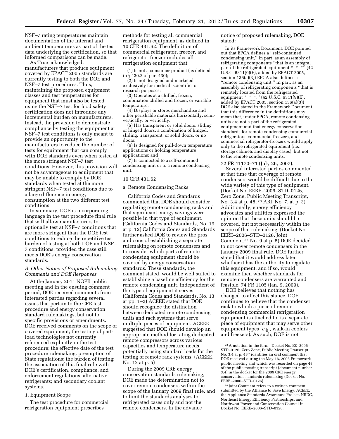NSF–7 rating temperatures maintain documentation of the internal and ambient temperatures as part of the test data underlying the certification, so that informed comparisons can be made.

As True acknowledged, manufacturers that produce equipment covered by EPACT 2005 standards are currently testing to both the DOE and NSF–7 test procedures. Thus, maintaining the proposed equipment classes and test temperatures for equipment that must also be tested using the NSF–7 test for food safety certification does not introduce any incremental burden on manufacturers. Instead, the provision to demonstrate compliance by testing the equipment at NSF–7 test conditions is only meant to provide an opportunity to the manufacturers to reduce the number of tests for equipment that can comply with DOE standards even when tested at the more stringent NSF–7 test conditions. However, this provision will not be advantageous to equipment that may be unable to comply by DOE standards when tested at the more stringent NSF–7 test conditions due to a large difference in energy consumption at the two different test conditions.

In summary, DOE is incorporating language in the test procedure final rule that will allow manufacturers to optionally test at NSF–7 conditions that are more stringent than the DOE test conditions to reduce the repetitive test burden of testing at both DOE and NSF– 7 conditions, provided the case still meets DOE's energy conservation standards.

# *B. Other Notice of Proposed Rulemaking Comments and DOE Responses*

At the January 2011 NOPR public meeting and in the ensuing comment period, DOE received comments from interested parties regarding several issues that pertain to the CRE test procedure and energy conservation standard rulemakings, but not to specific provisions or amendments. DOE received comments on the scope of covered equipment; the testing of partload technologies not currently referenced explicitly in the test procedure; the effective date of the test procedure rulemaking; preemption of State regulations; the burden of testing; the association of this final rule with DOE's certification, compliance, and enforcement regulations; alternative refrigerants; and secondary coolant systems.

# 1. Equipment Scope

The test procedure for commercial refrigeration equipment prescribes

methods for testing all commercial refrigeration equipment, as defined in 10 CFR 431.62. The definition of commercial refrigerator, freezer, and refrigerator-freezer includes all refrigeration equipment that:

(1) Is not a consumer product (as defined in § 430.2 of part 430);

(2) Is not designed and marketed exclusively for medical, scientific, or research purposes;

(3) Operates at a chilled, frozen, combination chilled and frozen, or variable temperature;

(4) Displays or stores merchandise and other perishable materials horizontally, semivertically, or vertically;

(5) Has transparent or solid doors, sliding or hinged doors, a combination of hinged, sliding, transparent, or solid doors, or no doors;

(6) Is designed for pull-down temperature applications or holding temperature applications; and

(7) Is connected to a self-contained condensing unit or to a remote condensing unit.

# 10 CFR 431.62

#### a. Remote Condensing Racks

California Codes and Standards commented that DOE should consider regulating remote condensing racks and that significant energy savings were possible in that type of equipment. (California Codes and Standards, No. 19 at p. 12) California Codes and Standards further asked DOE to review the pros and cons of establishing a separate rulemaking on remote condensers and to consider which parts of remote condensing equipment should be covered by energy conservation standards. These standards, the comment stated, would be well suited to establishing a baseline efficiency for the remote condensing unit, independent of the type of equipment it serves. (California Codes and Standards, No. 13 at pp. 1–2) ACEEE stated that DOE should recognize the distinction between dedicated remote condensing units and rack systems that serve multiple pieces of equipment. ACEEE suggested that DOE should develop an appropriate method for rating dedicated remote compressors across various capacities and temperature needs, potentially using standard loads for the testing of remote rack systems. (ACEEE, No. 12 at p. 5)

During the 2009 CRE energy conservation standards rulemaking, DOE made the determination not to cover remote condensers within the scope of the January 2009 final rule, and to limit the standards analyses to refrigerated cases only and not the remote condensers. In the advance

notice of proposed rulemaking, DOE stated:

In its Framework Document, DOE pointed out that EPCA defines a ''self-contained condensing unit,'' in part, as an assembly of refrigerating components ''that is an integral part of the refrigerated equipment \* \* \*'' (42 U.S.C. 6311(9)(F), added by EPACT 2005, section 136(a)(3)) EPCA also defines a ''remote condensing unit,'' in part, as an assembly of refrigerating components ''that is remotely located from the refrigerated equipment \* \* \*.'' (42 U.S.C. 6311(9)(E), added by EPACT 2005, section 136(a)(3)) DOE also stated in the Framework Document that this difference in the definitions may mean that, under EPCA, remote condensing units are not a part of the refrigerated equipment and that energy conservation standards for remote condensing commercial refrigerators, commercial freezers, and commercial refrigerator-freezers would apply only to the refrigerated equipment (i.e., storage cabinets and display cases), but not to the remote condensing units.

72 FR 41170–71 (July 26, 2007). Several interested parties commented at that time that coverage of remote condensers would be difficult due to the wide variety of this type of equipment. (Docket No. EERE–2006–STD–0126, Zero Zone, Public Meeting Transcript, No. 3.4 at p. 48; 23 ARI, No. 7, at p. 3) Additionally, energy efficiency advocates and utilities expressed the opinion that these units should be covered, but not necessarily within the scope of that rulemaking. (Docket No. EERE–2006–STD–0126, Joint Comment,24 No. 9 at p. 5) DOE decided to not cover remote condensers in the January 2009 final rule. DOE further stated that it would address later whether it has the authority to regulate this equipment, and if so, would examine then whether standards for remote condensers are warranted and feasible. 74 FR 1105 (Jan. 9, 2009).

DOE believes that nothing has changed to affect this stance. DOE continues to believe that the condenser rack to which a piece of remote condensing commercial refrigeration equipment is attached to, is a separate piece of equipment that may serve other equipment types (*e.g.,* walk-in coolers and freezers). As such, DOE is not

<sup>23</sup>A notation in the form ''Docket No. EE–2006– STD–0126, Zero Zone, Public Meeting Transcript, No. 3.4 at p. 48'' identifies an oral comment that DOE received during the May 16, 2006 Framework public meeting and which was recorded on page 48 of the public meeting transcript (document number 3.4) in the docket for the 2009 CRE energy conservation standards rulemaking (Docket No. EERE–2006–STD–0126).

<sup>24</sup> Joint Comment refers to a written comment submitted by the Alliance to Save Energy, ACEEE the Appliance Standards Awareness Project, NRDC, Northeast Energy Efficiency Partnerships, and Northwest Power and Conservation Council in Docket No. EERE–2006–STD–0126.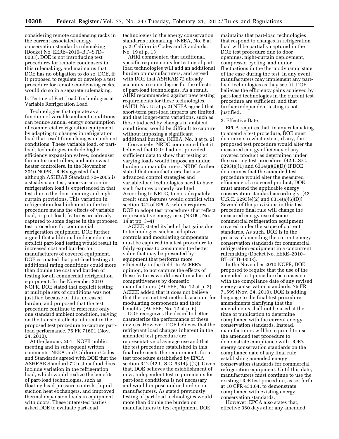considering remote condensing racks in the current associated energy conservation standards rulemaking (Docket No. EERE–2010–BT–STD– 0003). DOE is not introducing test procedures for remote condensers in this rulemaking, and maintains that DOE has no obligation to do so. DOE, if it proposed to regulate or develop a test procedure for remote condensing racks, would do so in a separate rulemaking.

b. Testing of Part-Load Technologies at Variable Refrigeration Load

Technologies that operate as a function of variable ambient conditions can reduce annual energy consumption of commercial refrigeration equipment by adapting to changes in refrigeration load that result from changes in ambient conditions. These variable load, or partload, technologies include higher efficiency expansion valves, condenser fan motor controllers, and anti-sweat heater controllers. In the November 2010 NOPR, DOE suggested that, although ASHRAE Standard 72–2005 is a steady-state test, some variation in refrigeration load is experienced in that test due to the door opening and night curtain provisions. This variation in refrigeration load inherent in the test procedure means the effects of variable load, or part-load, features are already captured to some degree in the proposed test procedure for commercial refrigeration equipment. DOE further argued that additional independent or explicit part-load testing would result in increased cost and burden for manufacturers of covered equipment. DOE estimated that part-load testing at additional rating conditions could more than double the cost and burden of testing for all commercial refrigeration equipment. In the November 2010 NOPR, DOE stated that explicit testing at multiple sets of conditions was not justified because of this increased burden, and proposed that the test procedure continue to reference only one standard ambient condition, relying on the transient effects inherent in the proposed test procedure to capture partload performance. 75 FR 71601 (Nov. 24, 2010).

At the January 2011 NOPR public meeting and in subsequent written comments, NEEA and California Codes and Standards agreed with DOE that the ASHRAE Standard 72 test method does include variation in the refrigeration load, which would realize the benefits of part-load technologies, such as floating head pressure controls, liquid suction heat exchangers, and improved thermal expansion loads in equipment with doors. These interested parties asked DOE to evaluate part-load

technologies in the energy conservation standards rulemaking. (NEEA, No. 8 at p. 2; California Codes and Standards, No. 19 at p. 13)

AHRI commented that additional, specific requirements for testing of partload technologies will add an additional burden on manufacturers, and agreed with DOE that ASHRAE 72 already accounts to some degree for the effects of part-load technologies. As a result, AHRI recommended against new testing requirements for these technologies. (AHRI, No. 15 at p. 2) NEEA agreed that short-term part-load impacts are limited, and that longer-term variations, such as those induced by changes in ambient conditions, would be difficult to capture without imposing a significant additional burden. (NEEA, No. 8 at p. 2)

Conversely, NRDC commented that it believed that DOE had not provided sufficient data to show that testing at varying loads would impose an undue burden on manufacturers. NRDC further stated that manufacturers that use advanced control strategies and variable-load technologies need to have such features properly credited. According to NRDC, to not adequately credit such features would conflict with section 342 of EPCA, which requires DOE to adopt test procedures that reflect representative energy use. (NRDC, No. 14 at pp. 3–4)

ACEEE stated its belief that gains due to technologies such as adaptive controls and modulating components must be captured in a test procedure to fairly express to consumers the better value that may be presented by equipment that performs more efficiently in the field. In ACEEE's opinion, to not capture the effects of these features would result in a loss of competitiveness by domestic manufacturers. (ACEEE, No. 12 at p. 2) ACEEE added that it does not believe that the current test methods account for modulating components and their benefits. (ACEEE, No. 12 at p. 6)

DOE recognizes the desire to better characterize the performance of these devices. However, DOE believes that the refrigerant load changes inherent in the amended test procedure are representative of average use and that the test procedure established in this final rule meets the requirements for a test procedure established by EPCA section 342 (42 U.S.C. 6314(a)(2)). Given that, DOE believes the establishment of new, independent test requirements for part-load conditions is not necessary and would impose undue burden on manufacturers. As stated previously, testing of part-load technologies would more than double the burden on manufacturers to test equipment. DOE

maintains that part-load technologies that respond to changes in refrigeration load will be partially captured in the DOE test procedure due to door openings, night-curtain deployment, compressor cycling, and minor fluctuations in the thermodynamic state of the case during the test. In any event, manufacturers may implement any partload technologies as they see fit. DOE believes the efficiency gains achieved by part-load technologies in the current test procedure are sufficient, and that further independent testing is not justified.

#### 2. Effective Date

EPCA requires that, in any rulemaking to amend a test procedure, DOE must determine to what extent, if any, the proposed test procedure would alter the measured energy efficiency of any covered product as determined under the existing test procedure. (42 U.S.C. 6293(e)(1) and 6314(a)(6)(D)) If DOE determines that the amended test procedure would alter the measured efficiency of a covered product, DOE must amend the applicable energy conservation standard accordingly. (42 U.S.C. 6293(e)(2) and 6314(a)(6)(D)) Several of the provisions in this test procedure final rule will change the measured energy use of some commercial refrigeration equipment covered under the scope of current standards. As such, DOE is in the process of amending the current energy conservation standards for commercial refrigeration equipment in a concurrent rulemaking (Docket No. EERE–2010– BT–STD–0003).

In the November 2010 NOPR, DOE proposed to require that the use of the amended test procedure be consistent with the compliance date of any revised energy conservation standards. 75 FR 71599 (Nov. 24, 2010). DOE is adding language to the final test procedure amendments clarifying that the amendments shall not be used at the time of publication to determine compliance with the current energy conservation standards. Instead, manufacturers will be required to use the amended test procedure to demonstrate compliance with DOE's energy conservation standards on the compliance date of any final rule establishing amended energy conservation standards for commercial refrigeration equipment. Until this date, manufacturers must continue to use the existing DOE test procedure, as set forth at 10 CFR 431.64, to demonstrate compliance with existing energy conservation standards.

However, EPCA also states that, effective 360 days after any amended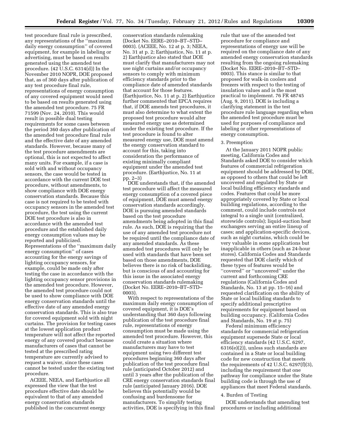test procedure final rule is prescribed, any representations of the ''maximum daily energy consumption'' of covered equipment, for example in labeling or advertising, must be based on results generated using the amended test procedure. (42 U.S.C. 6314(d)) In the November 2010 NOPR, DOE proposed that, as of 360 days after publication of any test procedure final rule, representations of energy consumption of any covered equipment would need to be based on results generated using the amended test procedure. 75 FR 71599 (Nov. 24, 2010). This would result in possible dual testing requirements for some cases between the period 360 days after publication of the amended test procedure final rule and the effective date of any amended standards. However, because many of the test procedure amendments are optional, this is not expected to affect many units. For example, if a case is sold with and without occupancy sensors, the case would be tested in accordance with the current DOE test procedure, without amendments, to show compliance with DOE energy conservation standards. Because this case is not required to be tested with occupancy sensors in the amended test procedure, the test using the current DOE test procedure is also in accordance with the amended test procedure and the established daily energy consumption values may be reported and publicized. Representations of the ''maximum daily energy consumption'' of cases accounting for the energy savings of lighting occupancy sensors, for example, could be made only after testing the case in accordance with the lighting occupancy sensor provisions in the amended test procedure. However, the amended test procedure could not be used to show compliance with DOE energy conservation standards until the effective date of any amended energy conservation standards. This is also true for covered equipment sold with night curtains. The provision for testing cases at the lowest application product temperature will not affect the reported energy of any covered product because manufacturers of cases that cannot be tested at the prescribed rating temperature are currently advised to request a waiver, since these cases cannot be tested under the existing test procedure.

ACEEE, NEEA, and Earthjustice all expressed the view that the test procedure effective date should be equivalent to that of any amended energy conservation standards published in the concurrent energy

conservation standards rulemaking (Docket No. EERE–2010–BT–STD– 0003). (ACEEE, No. 12 at p. 3; NEEA, No. 31 at p. 2; Earthjustice, No. 11 at p. 2) Earthjustice also stated that DOE must clarify that manufacturers may not use night curtains and/or occupancy sensors to comply with minimum efficiency standards prior to the compliance date of amended standards that account for those features. (Earthjustice, No. 11 at p. 2) Earthjustice further commented that EPCA requires that, if DOE amends test procedures, it must also determine to what extent the proposed test procedure would alter measured energy use as determined under the existing test procedure. If the test procedure is found to alter measured energy use, DOE must amend the energy conservation standard to account for this, taking into consideration the performance of existing minimally compliant equipment under the amended test procedure. (Earthjustice, No. 11 at pp. 2–3)

DOE understands that, if the amended test procedure will affect the measured energy consumption of a covered piece of equipment, DOE must amend energy conservation standards accordingly. DOE is pursuing amended standards based on the test procedure amendments being adopted in this final rule. As such, DOE is requiring that the use of any amended test procedure not be required until the compliance date of any amended standards. As these amended test procedures will only be used with standards that have been set based on those amendments, DOE believes there is no risk of backsliding, but is conscious of and accounting for this issue in the associated energy conservation standards rulemaking (Docket No. EERE–2010–BT–STD– 0003).

With respect to representations of the maximum daily energy consumption of covered equipment, it is DOE's understanding that 360 days following publication of the test procedure final rule, representations of energy consumption must be made using the amended test procedure. However, this could create a situation where manufacturers may have to test equipment using two different test procedures beginning 360 days after publication of the test procedure final rule (anticipated October 2012) and until 3 years after the publication of the CRE energy conservation standards final rule (anticipated January 2016). DOE believes this potentially would be confusing and burdensome for manufacturers. To simplify testing activities, DOE is specifying in this final

rule that use of the amended test procedure for compliance and representations of energy use will be required on the compliance date of any amended energy conservation standards resulting from the ongoing rulemaking (Docket No. EERE–2010–BT–STD– 0003). This stance is similar to that proposed for walk-in coolers and freezers with respect to the testing of insulation values and is the most practical to implement. 76 FR 48745 (Aug. 9, 2011). DOE is including a clarifying statement in the test procedure rule language regarding when the amended test procedure must be used for purposes of compliance and labeling or other representations of energy consumption.

#### 3. Preemption

At the January 2011 NOPR public meeting, California Codes and Standards asked DOE to consider which features of commercial refrigeration equipment should be addressed by DOE, as opposed to others that could be left uncovered and regulated by State or local building efficiency standards and codes. Features that could be more appropriately covered by State or local building regulations, according to the comment, could include controls not integral to a single unit (centralized, storewide controls); liquid-suction heat exchangers serving an entire lineup of cases; and application-specific devices, such as night curtains, which could be very valuable in some applications but inapplicable in others (such as 24-hour stores). California Codes and Standards requested that DOE clarify which of these types of features would be ''covered'' or ''uncovered'' under the current and forthcoming CRE regulations (California Codes and Standards, No. 13 at pp. 15–16) and requested clarification on the ability of State or local building standards to specify additional prescriptive requirements for equipment based on building occupancy. (California Codes and Standards, No. 19 at p. 75)

Federal minimum efficiency standards for commercial refrigeration equipment supersede State or local efficiency standards (42 U.S.C. 6297, 6316(e)(2)), unless such standards are contained in a State or local building code for new construction that meets the requirements of 42 U.S.C. 6297(f)(3), including the requirement that one pathway for compliance under the State building code is through the use of appliances that meet Federal standards.

### 4. Burden of Testing

DOE understands that amending test procedures or including additional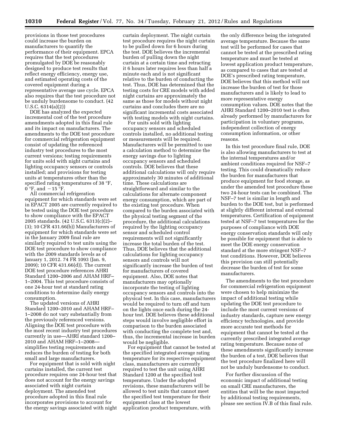provisions in those test procedures could increase the burden on manufacturers to quantify the performance of their equipment. EPCA requires that the test procedures promulgated by DOE be reasonably designed to produce test results that reflect energy efficiency, energy use, and estimated operating costs of the covered equipment during a representative average use cycle. EPCA also requires that the test procedure not be unduly burdensome to conduct. (42 U.S.C. 6314(a)(2))

DOE has analyzed the expected incremental cost of the test procedure amendments adopted in this final rule and its impact on manufacturers. The amendments to the DOE test procedure for commercial refrigeration equipment consist of updating the referenced industry test procedures to the most current versions; testing requirements for units sold with night curtains and lighting occupancy sensors or controls installed; and provisions for testing units at temperatures other than the specified rating temperatures of 38 °F, 0 °F, and  $-15$  °F.

All commercial refrigeration equipment for which standards were set in EPACT 2005 are currently required to be tested using the DOE test procedure to show compliance with the EPACT 2005 standards. (42 U.S.C. 6313(c)(2)– (3); 10 CFR 431.66(b)) Manufacturers of equipment for which standards were set in the January 2009 final rule are similarly required to test units using the DOE test procedure to show compliance with the 2009 standards levels as of January 1, 2012. 74 FR 1093 (Jan. 9, 2009); 10 CFR 431.66(d)). The current DOE test procedure references AHRI Standard 1200–2006 and AHAM HRF– 1–2004. This test procedure consists of one 24-hour test at standard rating conditions to determine daily energy consumption.

The updated versions of AHRI Standard 1200–2010 and AHAM HRF– 1–2008 do not vary substantially from the previously referenced versions. Aligning the DOE test procedure with the most recent industry test procedures currently in use—AHRI standard 1200– 2010 and AHAM HRF–1–2008 simplifies testing requirements and reduces the burden of testing for both small and large manufacturers.

For equipment that is sold with night curtains installed, the current test procedure requires one 24-hour test that does not account for the energy savings associated with night curtain deployment. The amended test procedure adopted in this final rule incorporates provisions to account for the energy savings associated with night

curtain deployment. The night curtain test procedure requires the night curtain to be pulled down for 6 hours during the test. DOE believes the incremental burden of pulling down the night curtain at a certain time and retracting it 6 hours later requires less than half a minute each and is not significant relative to the burden of conducting the test. Thus, DOE has determined that the testing costs for CRE models with added night curtains are approximately the same as those for models without night curtains and concludes there are no significant incremental costs associated with testing models with night curtains.

For units sold with lighting occupancy sensors and scheduled controls installed, no additional testing or measurements will be required. Manufacturers will be permitted to use a calculation method to determine the energy savings due to lighting occupancy sensors and scheduled controls. DOE believes that these additional calculations will only require approximately 30 minutes of additional time. These calculations are straightforward and similar to the calculations for alternate component energy consumption, which are part of the existing test procedure. When compared to the burden associated with the physical testing segment of the procedure, the additional calculations required by the lighting occupancy sensor and scheduled control requirements will not significantly increase the total burden of the test. Thus, DOE believes that the additional calculations for lighting occupancy sensors and controls will not significantly increase the burden of test for manufacturers of covered equipment. Also, DOE notes that manufacturers may optionally incorporate the testing of lighting occupancy sensors and controls into the physical test. In this case, manufacturers would be required to turn off and turn on the lights once each during the 24 hour test. DOE believes these additional steps would involve negligible effort in comparison to the burden associated with conducting the complete test and, thus, the incremental increase in burden would be negligible.

For equipment that cannot be tested at the specified integrated average rating temperature for its respective equipment class, manufacturers are currently required to test the unit using AHRI Standard 1200 at the specified test temperature. Under the adopted revisions, these manufacturers will be allowed to test units that cannot meet the specified test temperature for their equipment class at the lowest application product temperature, with

the only difference being the integrated average temperature. Because the same test will be performed for cases that cannot be tested at the prescribed rating temperature and must be tested at lowest application product temperature, as compared to cases that are tested at DOE's prescribed rating temperature, DOE believes that this method will not increase the burden of test for those manufacturers and is likely to lead to more representative energy consumption values. DOE notes that the AHRI Standard 1200–2010 test is often already performed by manufacturers for participation in voluntary programs, independent collection of energy consumption information, or other reasons.

In this test procedure final rule, DOE is also allowing manufacturers to test at the internal temperatures and/or ambient conditions required for NSF–7 testing. This could dramatically reduce the burden for manufacturers that produce equipment for food storage, as under the amended test procedure these two 24-hour tests can be combined. The NSF–7 test is similar in length and burden to the DOE test, but is performed at slightly different internal and external temperatures. Certification of equipment tested at NSF–7 test temperatures for the purposes of compliance with DOE energy conservation standards will only be possible for equipment that is able to meet the DOE energy conservation standard at the more stringent NSF–7 test conditions. However, DOE believes this provision can still potentially decrease the burden of test for some manufacturers.

The amendments to the test procedure for commercial refrigeration equipment were chosen to help minimize the impact of additional testing while updating the DOE test procedure to include the most current versions of industry standards, capture new energy efficiency technologies, and provide more accurate test methods for equipment that cannot be tested at the currently prescribed integrated average rating temperature. Because none of these amendments significantly increase the burden of a test, DOE believes that the test procedure finalized here will not be unduly burdensome to conduct.

For further discussion of the economic impact of additional testing on small CRE manufacturers, the entities that will be the most impacted by additional testing requirements, please see section IV.B of this final rule.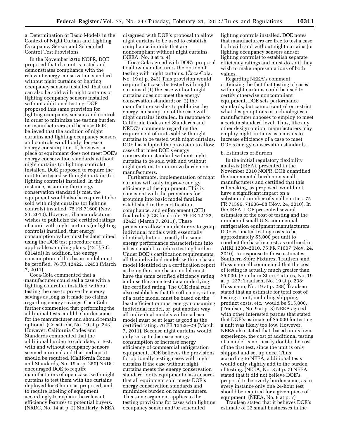a. Determination of Basic Models in the Context of Night Curtain and Lighting Occupancy Sensor and Scheduled Control Test Provisions

In the November 2010 NOPR, DOE proposed that if a unit is tested and demonstrates compliance with the relevant energy conservation standard without night curtains or lighting occupancy sensors installed, that unit can also be sold with night curtains or lighting occupancy sensors installed without additional testing. DOE proposed this same provision for lighting occupancy sensors and controls in order to minimize the testing burden on manufacturers and because DOE believed that the addition of night curtains and lighting occupancy sensors and controls would only decrease energy consumption. If, however, a piece of equipment does not meet DOE's energy conservation standards without night curtains (or lighting controls) installed, DOE proposed to require the unit to be tested with night curtains (or lighting controls) installed. In this instance, assuming the energy conservation standard is met, the equipment would also be required to be sold with night curtains (or lighting controls) installed. 75 FR 71600 (Nov. 24, 2010). However, if a manufacturer wishes to publicize the certified ratings of a unit with night curtains (or lighting controls) installed, that energy consumption value must be determined using the DOE test procedure and applicable sampling plans. (42 U.S.C. 6314(d)) In addition, the energy consumption of this basic model must be certified. 76 FR 12422, 12453 (March 7, 2011).

Coca-Cola commented that a manufacturer could sell a case with a lighting controller installed without testing the case to prove the energy savings as long as it made no claims regarding energy savings. Coca-Cola further commented that performing the additional tests could be burdensome for the manufacturer and should remain optional. (Coca-Cola, No. 19 at p. 243) However, California Codes and Standards commented that the additional burden to calculate, or test, with and without occupancy sensors seemed minimal and that perhaps it should be required. (California Codes and Standards, No. 19 at p. 250) NRDC encouraged DOE to require manufacturers of open cases with night curtains to test them with the curtains deployed for 6 hours as proposed, and to require labeling of equipment accordingly to explain the relevant efficiency features to potential buyers. (NRDC, No. 14 at p. 2) Similarly, NEEA

disagreed with DOE's proposal to allow night curtains to be used to establish compliance in units that are noncompliant without night curtains. (NEEA, No. 8 at p. 4)

Coca-Cola agreed with DOE's proposal to allow manufacturers the option of testing with night curtains. (Coca-Cola, No. 19 at p. 243) This provision would require that cases be tested with night curtains if (1) the case without night curtains does not meet the energy conservation standard; or (2) the manufacturer wishes to publicize the energy consumption of the case with night curtains installed. In response to California Codes and Standards and NRDC's comments regarding the requirement of units sold with night curtains to be tested with night curtains, DOE has adopted the provision to allow cases that meet DOE's energy conservation standard without night curtains to be sold with and without night curtains to minimize burden on manufacturers.

Furthermore, implementation of night curtains will only improve energy efficiency of the equipment. This is consistent with the provisions for grouping into basic model families established in the certification, compliance, and enforcement (CCE) final rule. (CCE final rule; 76 FR 12422, 12423 (March 7, 2011)). These provisions allow manufacturers to group individual models with essentially identical, but not exactly the same, energy performance characteristics into a basic model to reduce testing burden. Under DOE's certification requirements, all the individual models within a basic model identified in a certification report as being the same basic model must have the same certified efficiency rating and use the same test data underlying the certified rating. The CCE final rule also establishes that the efficiency rating of a basic model must be based on the least efficient or most energy consuming individual model, or, put another way, all individual models within a basic model must be at least as good as the certified rating. 76 FR 12428–29 (March 7, 2011). Because night curtains would only serve to decrease energy consumption or increase energy efficiency of commercial refrigeration equipment, DOE believes the provisions for optionally testing cases with night curtains if the case without night curtains meets the energy conservation standard for its equipment class ensures that all equipment sold meets DOE's energy conservation standards and minimizes burden on manufacturers. This same argument applies to the testing provisions for cases with lighting occupancy sensor and/or scheduled

lighting controls installed. DOE notes that manufacturers are free to test a case both with and without night curtains (or lighting occupancy sensors and/or lighting controls) to establish separate efficiency ratings and must do so if they wish to make representations of both values.

Regarding NEEA's comment criticizing the fact that testing of cases with night curtains could be used to certify otherwise noncompliant equipment, DOE sets performance standards, but cannot control or restrict what design options or technologies a manufacturer chooses to employ to meet a certain standard level. Thus, like any other design option, manufacturers may employ night curtains as a means to increase efficiency of a case to meet DOE's energy conservation standards.

#### b. Estimates of Burden

In the initial regulatory flexibility analysis (IRFA), presented in the November 2010 NOPR, DOE quantified the incremental burden on small manufacturers and certified that this rulemaking, as proposed, would not have a significant impact on a substantial number of small entities. 75 FR 71596, 71606–08 (Nov. 24, 2010). In the IRFA, DOE presented several estimates of the cost of testing and the number of small U.S. commercial refrigeration equipment manufacturers. DOE estimated testing costs to be approximately \$5,000 per unit to conduct the baseline test, as outlined in AHRI 1200–2010. 75 FR 71607 (Nov. 24, 2010). In response to these estimates, Southern Store Fixtures, Traulsen, and Hussmann all commented that the cost of testing is actually much greater than \$5,000. (Southern Store Fixtures, No. 19 at p. 237; Traulsen, No. 19 at p. 238; Hussmann, No. 19 at p. 238) Traulsen stated that an estimate for total cost of testing a unit, including shipping, product costs, etc., would be \$15,000. (Traulsen, No. 9 at p. 8) NEEA agreed with other interested parties that stated that DOE's estimate of \$5,000 for testing a unit was likely too low. However, NEEA also stated that, based on its own experience, the cost of additional testing of a model is not nearly double the cost of the first test, since the unit is only shipped and set up once. Thus, according to NEEA, additional tests would only slightly add to the burden of testing. (NEEA, No. 8 at p. 7) NEEA stated that it did not believe DOE's proposal to be overly burdensome, as in every instance only one 24-hour test should be required for a given piece of equipment. (NEEA, No. 8 at p. 7)

Traulsen stated that it believes DOE's estimate of 22 small businesses in the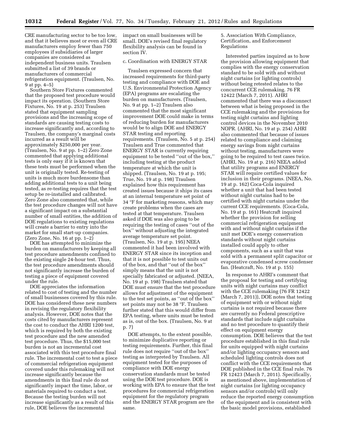CRE manufacturing sector to be too low, and that it believes most or even all CRE manufacturers employ fewer than 750 employees if subsidiaries of larger companies are considered as independent business units. Traulsen submitted a list of 39 brands or manufacturers of commercial refrigeration equipment. (Traulsen, No. 9 at pp. 4–5)

Southern Store Fixtures commented that the proposed test procedure would impact its operation. (Southern Store Fixtures, No. 19 at p. 253) Traulsen stated that equipment sampling provisions and the increasing scope of standards are causing testing costs to increase significantly and, according to Traulsen, the company's marginal costs incurred as a result will be approximately \$250,000 per year. (Traulsen, No. 9 at pp. 1–2) Zero Zone commented that applying additional tests is only easy if it is known that these tests must be performed when the unit is originally tested. Re-testing of units is much more burdensome than adding additional tests to a unit being tested, as re-testing requires that the test setup be re-installed and calibrated. Zero Zone also commented that, while the test procedure changes will not have a significant impact on a substantial number of small entities, the addition of DOE regulations to existing regulations will create a barrier to entry into the market for small start-up companies. (Zero Zone, No. 16 at pp. 1–2)

DOE has attempted to minimize the burden on manufacturers by keeping all test procedure amendments confined to the existing single 24-hour test. Thus, the test procedure amendments should not significantly increase the burden of testing a piece of equipment covered under the rule.

DOE appreciates the information related to cost of testing and the number of small businesses covered by this rule. DOE has considered these new numbers in revising the regulatory flexibility analysis. However, DOE notes that the costs cited by manufacturers represent the cost to conduct the AHRI 1200 test, which is required by both the existing test procedure and the new amended test procedure. Thus, the \$15,000 test burden is not an incremental cost associated with this test procedure final rule. The incremental cost to test a piece of commercial refrigeration equipment covered under this rulemaking will not increase significantly because the amendments in this final rule do not significantly impact the time, labor, or materials required to conduct a test. Because the testing burden will not increase significantly as a result of this rule, DOE believes the incremental

impact on small businesses will be small. DOE's revised final regulatory flexibility analysis can be found in section IV.

# c. Coordination with ENERGY STAR

Traulsen expressed concern that increased requirements for third-party testing and compliance with DOE and U.S. Environmental Protection Agency (EPA) programs are escalating the burden on manufacturers. (Traulsen, No. 9 at pp. 1–2) Traulsen also commented that the most significant improvement DOE could make in terms of reducing burden for manufacturers would be to align DOE and ENERGY STAR testing and reporting requirements. (Traulsen, No. 5 at p. 254) Traulsen and True commented that ENERGY STAR is currently requiring equipment to be tested ''out of the box,'' including testing at the product temperature at which the unit is shipped. (Traulsen, No. 19 at p. 195; True, No. 19 at p. 198) Traulsen explained how this requirement has created issues because it ships its cases at an internal temperature set point of 34 °F for marketing reasons, which may create problems when the cases are tested at that temperature. Traulsen asked if DOE was also going to be requiring the testing of cases ''out of the box'' without adjusting the integrated average temperature set point. (Traulsen, No. 19 at p. 195) NEEA commented it had been involved with ENERGY STAR since its inception and that it is not possible to test units out of the box, and that ''out of the box'' simply means that the unit is not specially fabricated or adjusted. (NEEA, No. 19 at p. 198) Traulsen stated that DOE must ensure that the test procedure allows for adjustment of the equipment to the test set points, as ''out of the box'' set points may not be 38 °F. Traulsen further stated that this would differ from EPA testing, where units must be tested as is, out of the box. (Traulsen, No. 9 at p. 7)

DOE attempts, to the extent possible, to minimize duplicative reporting or testing requirements. Further, this final rule does not require ''out of the box'' testing as interpreted by Traulsen. All equipment tested for the purposes of compliance with DOE energy conservation standards must be tested using the DOE test procedure. DOE is working with EPA to ensure that the test procedures for commercial refrigeration equipment for the regulatory program and the ENERGY STAR program are the same.

5. Association With Compliance, Certification, and Enforcement Regulations

Interested parties inquired as to how the provision allowing equipment that complies with the energy conservation standard to be sold with and without night curtains (or lighting controls) without being retested relates to the concurrent CCE rulemaking. 76 FR 12422 (March 7, 2011). AHRI commented that there was a disconnect between what is being proposed in the CCE rulemaking and the provisions for testing night curtains and lighting control devices in the November 2010 NOPR. (AHRI, No. 19 at p. 254) AHRI also commented that because of issues related to compliance and claiming energy savings from night curtains without testing, manufacturers were going to be required to test cases twice. (AHRI, No. 19 at p. 216) NEEA added that utility programs and ENERGY STAR will require certified values for inclusion in their programs. (NEEA, No. 19 at p. 162) Coca-Cola inquired whether a unit that had been tested without night curtains had to be certified with night curtains under the current CCE requirements. (Coca-Cola, No. 19 at p. 161) Heatcraft inquired whether the provision for selling commercial refrigeration equipment with and without night curtains if the unit met DOE's energy conservation standards without night curtains installed could apply to other components, such as a unit that was sold with a permanent split capacitor or evaporative condensed screw condenser fan. (Heatcraft, No. 19 at p. 155)

In response to AHRI's comment that the proposal for testing and certifying units with night curtains may conflict with the CCE rulemaking (76 FR 12422 (March 7, 2011)), DOE notes that testing of equipment with or without night curtains is not required because there are currently no Federal prescriptive standards that include night curtains and no test procedure to quantify their effect on equipment energy consumption. DOE believes that the test procedure established in this final rule for units equipped with night curtains and/or lighting occupancy sensors and scheduled lighting controls does not conflict with the CCE requirements that DOE published in the CCE final rule. 76 FR 12423 (March 7, 2011). Specifically, as mentioned above, implementation of night curtains (or lighting occupancy sensors and/or controls) will only reduce the reported energy consumption of the equipment and is consistent with the basic model provisions, established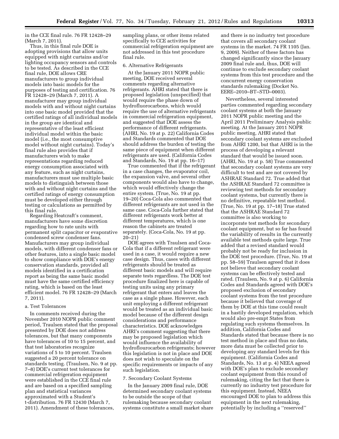in the CCE final rule. 76 FR 12428–29 (March 7, 2011).

Thus, in this final rule DOE is adopting provisions that allow units equipped with night curtains and/or lighting occupancy sensors and controls to be tested. As described in the CCE final rule, DOE allows CRE manufacturers to group individual models into basic models for the purposes of testing and certification. 76 FR 12428–29 (March 7, 2011). A manufacturer may group individual models with and without night curtains into one basic model provided that the certified ratings of all individual models in the group are identical and representative of the least efficient individual model within the basic model (i.e., the most consumptive model without night curtains). Today's final rule also provides that if manufacturers wish to make representations regarding reduced energy consumption associated with any feature, such as night curtains, manufacturers must use multiple basic models to distinguish between those with and without night curtains and the certified ratings of energy consumption must be developed either through testing or calculations as permitted by this final rule.

Regarding Heatcraft's comment, manufacturers have some discretion regarding how to rate units with permanent split capacitor or evaporative condensed screw condenser fans. Manufacturers may group individual models, with different condenser fans or other features, into a single basic model to show compliance with DOE's energy conservation standards, provided all models identified in a certification report as being the same basic model must have the same certified efficiency rating, which is based on the least efficient model. 76 FR 12428–29 (March 7, 2011).

#### a. Test Tolerances

In comments received during the November 2010 NOPR public comment period, Traulsen stated that the proposal presented by DOE does not address tolerances, but that many components have tolerances of 10 to 15 percent, and that test laboratories recognize variations of 5 to 10 percent. Traulsen suggested a 20 percent tolerance on standards testing. (Traulsen, No. 9 at pp. 7–8) DOE's current test tolerances for commercial refrigeration equipment were established in the CCE final rule and are based on a specified sampling plan and statistical variances approximated with a Student's t-distribution. 76 FR 12430 (March 7, 2011). Amendment of these tolerances,

sampling plans, or other items related specifically to CCE activities for commercial refrigeration equipment are not addressed in this test procedure final rule.

#### 6. Alternative Refrigerants

At the January 2011 NOPR public meeting, DOE received several comments regarding alternative refrigerants. AHRI stated that there is proposed legislation (unspecified) that would require the phase down of hydrofluorocarbons, which would require the use of alternative refrigerants in commercial refrigeration equipment, and suggested that DOE assess the performance of different refrigerants. (AHRI, No. 19 at p. 22) California Codes and Standards commented that DOE should address the burden of testing the same piece of equipment when different refrigerants are used. (California Codes and Standards, No. 19 at pp. 16–17)

True commented that if the refrigerant in a case changes, the evaporator coil, the expansion valve, and several other components would also have to change, which would effectively change the entire system. (True, No. 19 at pp. 19–20) Coca-Cola also commented that different refrigerants are not used in the same case. Coca-Cola further stated that different refrigerants work better at different temperatures, which is one reason the cabinets are treated separately. (Coca-Cola, No. 19 at pp. 20–21)

DOE agrees with Traulsen and Coca-Cola that if a different refrigerant were used in a case, it would require a new case design. Thus, cases with different refrigerants should be treated as different basic models and will require separate tests regardless. The DOE test procedure finalized here is capable of testing units using any primary refrigerant that enters and leaves the case as a single phase. However, each unit employing a different refrigerant would be treated as an individual basic model because of the different design considerations and performance characteristics. DOE acknowledges AHRI's comment suggesting that there may be proposed legislation which would influence the availability of hydroflourocarbon refrigerants; however this legislation is not in place and DOE does not wish to speculate on the specific requirements or impacts of any such legislation.

#### 7. Secondary Coolant Systems

In the January 2009 final rule, DOE determined secondary coolant systems to be outside the scope of that rulemaking because secondary coolant systems constitute a small market share and there is no industry test procedure that covers all secondary coolant systems in the market. 74 FR 1105 (Jan. 9, 2009). Neither of these factors has changed significantly since the January 2009 final rule and, thus, DOE will continue to exclude secondary coolant systems from this test procedure and the concurrent energy conservation standards rulemaking (Docket No. EERE–2010–BT–STD–0003).

Nevertheless, several interested parties commented regarding secondary coolant systems at both the January 2011 NOPR public meeting and the April 2011 Preliminary Analysis public meeting. At the January 2011 NOPR public meeting, AHRI stated that secondary coolant systems are excluded from AHRI 1200, but that AHRI is in the process of developing a relevant standard that would be issued soon. (AHRI, No. 19 at p. 58) True commented that secondary coolant systems are very difficult to test and are not covered by ASHRAE Standard 72. True added that the ASHRAE Standard 72 committee is reviewing test methods for secondary coolant systems, but currently there is no definitive, repeatable test method. (True, No. 19 at pp. 17–18) True stated that the ASHRAE Standard 72 committee is also working to incorporate test methods for secondary coolant equipment, but so far has found the variability of results in the currently available test methods quite large. True added that a revised standard would probably not be ready for inclusion in the DOE test procedure. (True, No. 19 at pp. 58–59) Traulsen agreed that it does not believe that secondary coolant systems can be effectively tested and rated. (Traulsen, No. 9 at p. 6) California Codes and Standards agreed with DOE's proposed exclusion of secondary coolant systems from the test procedure because it believed that coverage of them by DOE at this time could result in a hastily developed regulation, which would also pre-empt States from regulating such systems themselves. In addition, California Codes and Standards stated that because there is no test method in place and thus no data, more data must be collected prior to developing any standard levels for this equipment. (California Codes and Standards, No. 13 at p. 4) NEEA agreed with DOE's plan to exclude secondary coolant equipment from this round of rulemaking, citing the fact that there is currently no industry test procedure for this equipment. Instead, NEEA encouraged DOE to plan to address this equipment in the next rulemaking, potentially by including a ''reserved''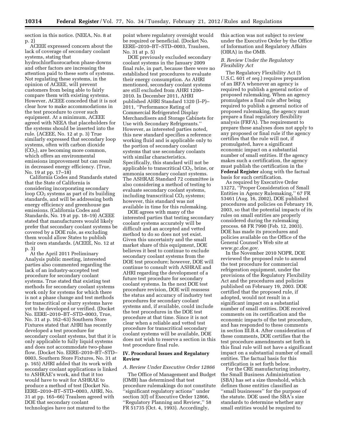section in this notice. (NEEA, No. 8 at p. 2)

ACEEE expressed concern about the lack of coverage of secondary coolant systems, stating that hydrochlorfluorocarbon phase-downs and other factors are increasing the attention paid to these sorts of systems. Not regulating these systems, in the opinion of ACEEE, will prevent customers from being able to fairly compare them with existing systems. However, ACEEE conceded that it is not clear how to make accommodations in the test procedure to cover such equipment. At a minimum, ACEEE agreed with NEEA that placeholders for the systems should be inserted into the rule. (ACEEE, No. 12 at p. 3) True similarly expressed that secondary loop systems, often with carbon dioxide  $(CO<sub>2</sub>)$ , are becoming more common, which offers an environmental emissions improvement but can result in decreased energy efficiency. (True, No. 19 at pp. 17–18)

California Codes and Standards stated that the State of California is considering incorporating secondary loop  $CO<sub>2</sub>$  systems as part of its building standards, and will be addressing both energy efficiency and greenhouse gas emissions. (California Codes and Standards, No. 19 at pp. 18–19) ACEEE stated that manufacturers would likely prefer that secondary coolant systems be covered by a DOE rule, as excluding them would allow States to publish their own standards. (ACEEE, No. 12 at p. 3)

At the April 2011 Preliminary Analysis public meeting, interested parties also commented regarding the lack of an industry-accepted test procedure for secondary coolant systems. True stated that existing test methods for secondary coolant systems work only for systems for which there is not a phase change and test methods for transcritical or slurry systems have yet to be developed or verified. (Docket No. EERE–2010–BT–STD–0003, True, No. 31 at p. 162–63) Southern Store Fixtures stated that AHRI has recently developed a test procedure for secondary coolant systems, but that it is only applicable to fully liquid systems and does not accommodate two-phase flow. (Docket No. EERE–2010–BT–STD– 0003, Southern Store Fixtures, No. 31 at p. 165) AHRI added that its work with secondary coolant applications is linked to ASHRAE's work, and that it too would have to wait for ASHRAE to produce a method of test (Docket No. EERE–2010–BT–STD–0003, AHRI, No. 31 at pp. 165–66) Traulsen agreed with DOE that secondary coolant technologies have not matured to the

point where regulatory oversight would be required or beneficial. (Docket No. EERE–2010–BT–STD–0003, Traulsen, No. 31 at p. 5)

DOE previously excluded secondary coolant systems in the January 2009 final rule, in part, because there were no established test procedures to evaluate their energy consumption. As AHRI mentioned, secondary coolant systems are still excluded from AHRI 1200– 2010. In December 2011, AHRI published AHRI Standard 1320 (I–P)– 2011, ''Performance Rating of Commercial Refrigerated Display Merchandisers and Storage Cabinets for Use with Secondary Refrigerants.'' However, as interested parties noted, this new standard specifies a reference working fluid and is applicable only to the portion of secondary coolant systems that use secondary coolants with similar characteristics. Specifically, this standard will not be applicable to transcritical  $CO<sub>2</sub>$ , brine, or ammonia secondary coolant systems. The ASHRAE Standard 72 committee is also considering a method of testing to evaluate secondary coolant systems, including transcritical  $CO<sub>2</sub>$  systems; however, this standard was not available in time for this rulemaking.

DOE agrees with many of the interested parties that testing secondary coolant systems accurately will be difficult and an accepted and vetted method to do so does not yet exist. Given this uncertainty and the small market share of this equipment, DOE believes it best to continue to exclude secondary coolant systems from the DOE test procedure; however, DOE will continue to consult with ASHRAE and AHRI regarding the development of a future test procedure for secondary coolant systems. In the next DOE test procedure revision, DOE will reassess the status and accuracy of industry test procedures for secondary coolant systems and, if available, could include the test procedures in the DOE test procedure at that time. Since it is not clear when a reliable and vetted test procedure for transcritical secondary coolant systems will be available, DOE does not wish to reserve a section in this test procedure final rule.

# **IV. Procedural Issues and Regulatory Review**

#### *A. Review Under Executive Order 12866*

The Office of Management and Budget (OMB) has determined that test procedure rulemakings do not constitute 'significant regulatory actions" under section 3(f) of Executive Order 12866, ''Regulatory Planning and Review,'' 58 FR 51735 (Oct. 4, 1993). Accordingly,

this action was not subject to review under the Executive Order by the Office of Information and Regulatory Affairs (OIRA) in the OMB.

# *B. Review Under the Regulatory Flexibility Act*

The Regulatory Flexibility Act (5 U.S.C. 601 *et seq.*) requires preparation of an IRFA whenever an agency is required to publish a general notice of proposed rulemaking. When an agency promulgates a final rule after being required to publish a general notice of proposed rulemaking, the agency must prepare a final regulatory flexibility analysis (FRFA). The requirement to prepare these analyses does not apply to any proposed or final rule if the agency certifies that the rule will not, if promulgated, have a significant economic impact on a substantial number of small entities. If the agency makes such a certification, the agency must publish the certification in the **Federal Register** along with the factual basis for such certification.

As required by Executive Order 13272, ''Proper Consideration of Small Entities in Agency Rulemaking,'' 67 FR 53461 (Aug. 16, 2002), DOE published procedures and policies on February 19, 2003, so that the potential impacts of its rules on small entities are properly considered during the rulemaking process. 68 FR 7990 (Feb. 12, 2003). DOE has made its procedures and policies available on the Office of the General Counsel's Web site at *[www.gc.doe.gov.](http://www.gc.doe.gov)* 

In the November 2010 NOPR, DOE reviewed the proposed rule to amend the test procedure for commercial refrigeration equipment, under the provisions of the Regulatory Flexibility Act and the procedures and policies published on February 19, 2003. DOE certified that the proposed rule, if adopted, would not result in a significant impact on a substantial number of small entities. DOE received comments on its certification and the economic impacts of the test procedure, and has responded to these comments in section III.B.4. After consideration of these comments, DOE certifies that the test procedure amendments set forth in this final rule will not have a significant impact on a substantial number of small entities. The factual basis for this certification is set forth below.

For the CRE manufacturing industry, the Small Business Administration (SBA) has set a size threshold, which defines those entities classified as ''small businesses'' for the purpose of the statute. DOE used the SBA's size standards to determine whether any small entities would be required to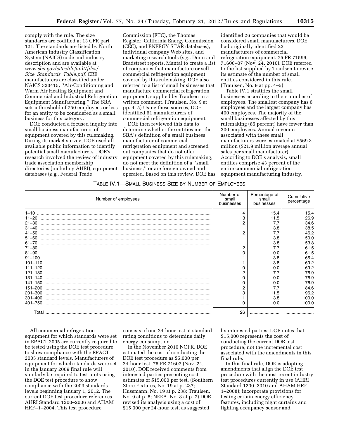comply with the rule. The size standards are codified at 13 CFR part 121. The standards are listed by North American Industry Classification System (NAICS) code and industry description and are available at *[www.sba.gov/sites/default/files/](http://www.sba.gov/sites/default/files/Size_Standards_Table.pdf) Size*\_*[Standards](http://www.sba.gov/sites/default/files/Size_Standards_Table.pdf)*\_*Table.pdf.* CRE manufacturers are classified under NAICS 333415, ''Air-Conditioning and Warm Air Heating Equipment and Commercial and Industrial Refrigeration Equipment Manufacturing.'' The SBA sets a threshold of 750 employees or less for an entity to be considered as a small business for this category.

DOE conducted a focused inquiry into small business manufacturers of equipment covered by this rulemaking. During its market survey, DOE used all available public information to identify potential small manufacturers. DOE's research involved the review of industry trade association membership directories (including AHRI), equipment databases (*e.g.,* Federal Trade

Commission (FTC), the Thomas Register, California Energy Commission (CEC), and ENERGY STAR databases), individual company Web sites, and marketing research tools (*e.g.,* Dunn and Bradstreet reports, Manta) to create a list of companies that manufacture or sell commercial refrigeration equipment covered by this rulemaking. DOE also referred to a list of small businesses that manufacture commercial refrigeration equipment, supplied by Traulsen in a written comment. (Traulsen, No. 9 at pp. 4–5) Using these sources, DOE identified 61 manufacturers of commercial refrigeration equipment.

DOE then reviewed this data to determine whether the entities met the SBA's definition of a small business manufacturer of commercial refrigeration equipment and screened out companies that do not offer equipment covered by this rulemaking, do not meet the definition of a ''small business,'' or are foreign owned and operated. Based on this review, DOE has

identified 26 companies that would be considered small manufacturers. DOE had originally identified 22 manufacturers of commercial refrigeration equipment. 75 FR 71596, 71606–07 (Nov. 24, 2010). DOE referred to the list supplied by Traulsen to revise its estimate of the number of small entities considered in this rule. (Traulsen, No. 9 at pp. 4–5)

Table IV.1 stratifies the small businesses according to their number of employees. The smallest company has 6 employees and the largest company has 400 employees. The majority of the small businesses affected by this rulemaking (85 percent) have fewer than 200 employees. Annual revenues associated with these small manufacturers were estimated at \$569.3 million (\$21.9 million average annual sales per small manufacturer). According to DOE's analysis, small entities comprise 43 percent of the entire commercial refrigeration equipment manufacturing industry.

#### TABLE IV.1—SMALL BUSINESS SIZE BY NUMBER OF EMPLOYEES

| Number of employees | Number of<br>small<br>businesses | Percentage of<br>small<br>businesses | Cumulative<br>percentage |
|---------------------|----------------------------------|--------------------------------------|--------------------------|
| $1 - 10$            | 4                                | 15.4                                 | 15.4                     |
|                     | 3                                | 11.5                                 | 26.9                     |
|                     |                                  | 7.7                                  | 34.6                     |
|                     |                                  | 3.8                                  | 38.5                     |
|                     |                                  | 7.7                                  | 46.2                     |
|                     |                                  | 3.8                                  | 50.0                     |
|                     |                                  | 3.8                                  | 53.8                     |
|                     | 2                                | 7.7                                  | 61.5                     |
|                     |                                  | 0.0                                  | 61.5                     |
|                     |                                  | 3.8                                  | 65.4                     |
|                     |                                  | 3.8                                  | 69.2                     |
|                     |                                  | 0.0                                  | 69.2                     |
|                     |                                  | 7.7                                  | 76.9                     |
|                     | n                                | 0.0                                  | 76.9                     |
|                     | O                                | 0.0                                  | 76.9                     |
|                     |                                  | 7.7                                  | 84.6                     |
|                     |                                  | 11.5                                 | 96.2                     |
|                     |                                  | 3.8                                  | 100.0                    |
|                     |                                  | 0.0                                  | 100.0                    |
|                     | 26                               |                                      |                          |

All commercial refrigeration equipment for which standards were set in EPACT 2005 are currently required to be tested using the DOE test procedure to show compliance with the EPACT 2005 standard levels. Manufacturers of equipment for which standards were set in the January 2009 final rule will similarly be required to test units using the DOE test procedure to show compliance with the 2009 standards levels beginning January 1, 2012. The current DOE test procedure references AHRI Standard 1200–2006 and AHAM HRF–1–2004. This test procedure

consists of one 24-hour test at standard rating conditions to determine daily energy consumption.

In the November 2010 NOPR, DOE estimated the cost of conducting the DOE test procedure as \$5,000 per 24-hour test. 75 FR 71607 (Nov. 24, 2010). DOE received comments from interested parties presenting cost estimates of \$15,000 per test. (Southern Store Fixtures, No. 19 at p. 237; Hussmann, No. 19 at p. 238; Traulsen, No. 9 at p. 8; NEEA, No. 8 at p. 7) DOE revised its analysis using a cost of \$15,000 per 24-hour test, as suggested

by interested parties. DOE notes that \$15,000 represents the cost of conducting the current DOE test procedure, not the incremental cost associated with the amendments in this final rule.

In this final rule, DOE is adopting amendments that align the DOE test procedure with the most recent industry test procedures currently in use (AHRI Standard 1200–2010 and AHAM HRF– 1–2008); incorporate provisions for testing certain energy efficiency features, including night curtains and lighting occupancy sensor and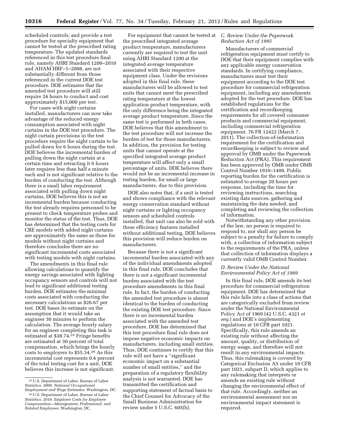scheduled controls; and provide a test procedure for specialty equipment that cannot be tested at the prescribed rating temperature. The updated standards referenced in this test procedure final rule, namely AHRI Standard 1200–2010 and AHAM HRF–1–2008, are not substantially different from those referenced in the current DOE test procedure. DOE estimates that the amended test procedure will still require 24 hours to conduct and cost approximately \$15,000 per test.

For cases with night curtains installed, manufacturers can now take advantage of the reduced energy consumption associated with night curtains in the DOE test procedure. The night curtain provisions in the test procedure require the night curtain to be pulled down for 6 hours during the test. DOE believes the incremental burden of pulling down the night curtain at a certain time and retracting it 6 hours later requires less than half a minute each and is not significant relative to the burden of conducting the test. Although there is a small labor requirement associated with pulling down night curtains, DOE believes this is not an incremental burden because conducting the test already requires personnel to be present to check temperature probes and monitor the status of the test. Thus, DOE has determined that the testing costs for CRE models with added night curtains are approximately the same as those for models without night curtains and therefore concludes there are no significant incremental costs associated with testing models with night curtains.

The amendments in this final rule allowing calculations to quantify the energy savings associated with lighting occupancy sensors and controls will not lead to significant additional testing burden. DOE estimates the minimal costs associated with conducting the necessary calculations as \$26.67 per test. DOE bases its estimate on the assumption that it would take an engineer 30 minutes to perform the calculation. The average hourly salary for an engineer completing this task is estimated at \$38.74.25 Fringe benefits are estimated at 30 percent of total compensation, which brings the hourly costs to employers to \$55.34.26 As this incremental cost represents 0.4 percent of the total testing cost for a unit, DOE believes this increase is not significant.

For equipment that cannot be tested at the prescribed integrated average product temperature, manufacturers currently are required to test the unit using AHRI Standard 1200 at the integrated average temperature associated with their respective equipment class. Under the revisions adopted in this final rule, these manufacturers will be allowed to test units that cannot meet the prescribed rating temperature at the lowest application product temperature, with the only difference being the integrated average product temperature. Since the same test is performed in both cases, DOE believes that this amendment to the test procedure will not increase the burden of test for those manufacturers. In addition, the provision for testing units that cannot operate at the specified integrated average product temperature will affect only a small percentage of units. DOE believes there would not be an incremental increase in testing burden, for small or large manufacturers, due to this provision.

DOE also notes that, if a unit is tested and shows compliance with the relevant energy conservation standard without night curtains or lighting occupancy sensors and scheduled controls installed, that unit can also be sold with these efficiency features installed without additional testing. DOE believes this provision will reduce burden on manufacturers.

Because there is not a significant incremental burden associated with any of the individual amendments adopted in this final rule, DOE concludes that there is not a significant incremental burden associated with the test procedure amendments in this final rule. In fact, the burden of conducting the amended test procedure is almost identical to the burden of conducting the existing DOE test procedure. Since there is no incremental burden associated with the amended test procedure, DOE has determined that this test procedure final rule does not impose negative economic impacts on manufacturers, including small entities. Thus, DOE continues to certify that this rule will not have a ''significant economic impact on a substantial number of small entities,'' and the preparation of a regulatory flexibility analysis is not warranted. DOE has transmitted the certification and supporting statement of factual basis to the Chief Counsel for Advocacy of the Small Business Administration for review under 5 U.S.C. 605(b).

# *C. Review Under the Paperwork Reduction Act of 1995*

Manufacturers of commercial refrigeration equipment must certify to DOE that their equipment complies with any applicable energy conservation standards. In certifying compliance, manufacturers must test their equipment according to the DOE test procedure for commercial refrigeration equipment, including any amendments adopted for the test procedure. DOE has established regulations for the certification and recordkeeping requirements for all covered consumer products and commercial equipment, including commercial refrigeration equipment. 76 FR 12422 (March 7, 2011). The collection-of-information requirement for the certification and recordkeeping is subject to review and approval by OMB under the Paperwork Reduction Act (PRA). This requirement has been approved by OMB under OMB Control Number 1910–1400. Public reporting burden for the certification is estimated to average 20 hours per response, including the time for reviewing instructions, searching existing data sources, gathering and maintaining the data needed, and completing and reviewing the collection of information.

Notwithstanding any other provision of the law, no person is required to respond to, nor shall any person be subject to a penalty for failure to comply with, a collection of information subject to the requirements of the PRA, unless that collection of information displays a currently valid OMB Control Number.

# *D. Review Under the National Environmental Policy Act of 1969*

In this final rule, DOE amends its test procedure for commercial refrigeration equipment. DOE has determined that this rule falls into a class of actions that are categorically excluded from review under the National Environmental Policy Act of 1969 (42 U.S.C. 4321 *et seq.*) and DOE's implementing regulations at 10 CFR part 1021. Specifically, this rule amends an existing rule without affecting the amount, quality, or distribution of energy usage, and therefore will not result in any environmental impacts. Thus, this rulemaking is covered by Categorical Exclusion A5 under 10 CFR part 1021, subpart D, which applies to any rulemaking that interprets or amends an existing rule without changing the environmental effect of that rule. Accordingly, neither an environmental assessment nor an environmental impact statement is required.

<sup>25</sup>U.S. Department of Labor, Bureau of Labor Statistics. 2009. *National Occupational Employment and Wage Estimates.* Washington, DC.

<sup>26</sup>U.S. Department of Labor, Bureau of Labor Statistics. 2010. *Employer Costs for Employee Compensation—Management, Professional, and Related Employees.* Washington, DC.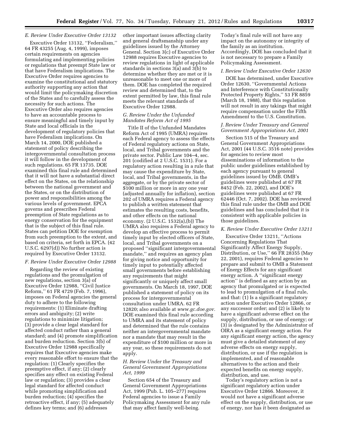# *E. Review Under Executive Order 13132*

Executive Order 13132, ''Federalism,'' 64 FR 43255 (Aug. 4, 1999), imposes certain requirements on agencies formulating and implementing policies or regulations that preempt State law or that have Federalism implications. The Executive Order requires agencies to examine the constitutional and statutory authority supporting any action that would limit the policymaking discretion of the States and to carefully assess the necessity for such actions. The Executive Order also requires agencies to have an accountable process to ensure meaningful and timely input by State and local officials in the development of regulatory policies that have Federalism implications. On March 14, 2000, DOE published a statement of policy describing the intergovernmental consultation process it will follow in the development of such regulations. 65 FR 13735. DOE examined this final rule and determined that it will not have a substantial direct effect on the States, on the relationship between the national government and the States, or on the distribution of power and responsibilities among the various levels of government. EPCA governs and prescribes Federal preemption of State regulations as to energy conservation for the equipment that is the subject of this final rule. States can petition DOE for exemption from such preemption to the extent, and based on criteria, set forth in EPCA. (42 U.S.C. 6297(d)) No further action is required by Executive Order 13132.

#### *F. Review Under Executive Order 12988*

Regarding the review of existing regulations and the promulgation of new regulations, section 3(a) of Executive Order 12988, ''Civil Justice Reform,'' 61 FR 4729 (Feb. 7, 1996), imposes on Federal agencies the general duty to adhere to the following requirements: (1) Eliminate drafting errors and ambiguity; (2) write regulations to minimize litigation; (3) provide a clear legal standard for affected conduct rather than a general standard; and (4) promote simplification and burden reduction. Section 3(b) of Executive Order 12988 specifically requires that Executive agencies make every reasonable effort to ensure that the regulation: (1) Clearly specifies the preemptive effect, if any; (2) clearly specifies any effect on existing Federal law or regulation; (3) provides a clear legal standard for affected conduct while promoting simplification and burden reduction; (4) specifies the retroactive effect, if any; (5) adequately defines key terms; and (6) addresses

other important issues affecting clarity and general draftsmanship under any guidelines issued by the Attorney General. Section 3(c) of Executive Order 12988 requires Executive agencies to review regulations in light of applicable standards in sections 3(a) and 3(b) to determine whether they are met or it is unreasonable to meet one or more of them. DOE has completed the required review and determined that, to the extent permitted by law, this final rule meets the relevant standards of Executive Order 12988.

# *G. Review Under the Unfunded Mandates Reform Act of 1995*

Title II of the Unfunded Mandates Reform Act of 1995 (UMRA) requires each Federal agency to assess the effects of Federal regulatory actions on State, local, and Tribal governments and the private sector. Public Law 104–4, sec. 201 (codified at 2 U.S.C. 1531). For a regulatory action resulting in a rule that may cause the expenditure by State, local, and Tribal governments, in the aggregate, or by the private sector of \$100 million or more in any one year (adjusted annually for inflation), section 202 of UMRA requires a Federal agency to publish a written statement that estimates the resulting costs, benefits, and other effects on the national economy. (2 U.S.C. 1532(a),(b)) The UMRA also requires a Federal agency to develop an effective process to permit timely input by elected officers of State, local, and Tribal governments on a proposed ''significant intergovernmental mandate,'' and requires an agency plan for giving notice and opportunity for timely input to potentially affected small governments before establishing any requirements that might significantly or uniquely affect small governments. On March 18, 1997, DOE published a statement of policy on its process for intergovernmental consultation under UMRA. 62 FR 12820; also available at *[www.gc.doe.gov.](http://www.gc.doe.gov)*  DOE examined this final rule according to UMRA and its statement of policy and determined that the rule contains neither an intergovernmental mandate nor a mandate that may result in the expenditure of \$100 million or more in any year, so these requirements do not apply.

# *H. Review Under the Treasury and General Government Appropriations Act, 1999*

Section 654 of the Treasury and General Government Appropriations Act, 1999 (Pub. L. 105–277) requires Federal agencies to issue a Family Policymaking Assessment for any rule that may affect family well-being.

Today's final rule will not have any impact on the autonomy or integrity of the family as an institution. Accordingly, DOE has concluded that it is not necessary to prepare a Family Policymaking Assessment.

#### *I. Review Under Executive Order 12630*

DOE has determined, under Executive Order 12630, ''Governmental Actions and Interference with Constitutionally Protected Property Rights,'' 53 FR 8859 (March 18, 1988), that this regulation will not result in any takings that might require compensation under the Fifth Amendment to the U.S. Constitution.

# *J. Review Under Treasury and General Government Appropriations Act, 2001*

Section 515 of the Treasury and General Government Appropriations Act, 2001 (44 U.S.C. 3516 note) provides for agencies to review most disseminations of information to the public under guidelines established by each agency pursuant to general guidelines issued by OMB. OMB's guidelines were published at 67 FR 8452 (Feb. 22, 2002), and DOE's guidelines were published at 67 FR 62446 (Oct. 7, 2002). DOE has reviewed this final rule under the OMB and DOE guidelines and has concluded that it is consistent with applicable policies in those guidelines.

#### *K. Review Under Executive Order 13211*

Executive Order 13211, ''Actions Concerning Regulations That Significantly Affect Energy Supply, Distribution, or Use,'' 66 FR 28355 (May 22, 2001), requires Federal agencies to prepare and submit to OMB a Statement of Energy Effects for any significant energy action. A ''significant energy action'' is defined as any action by an agency that promulgated or is expected to lead to promulgation of a final rule, and that: (1) Is a significant regulatory action under Executive Order 12866, or any successor order; and (2) is likely to have a significant adverse effect on the supply, distribution, or use of energy; or (3) is designated by the Administrator of OIRA as a significant energy action. For any significant energy action, the agency must give a detailed statement of any adverse effects on energy supply, distribution, or use if the regulation is implemented, and of reasonable alternatives to the action and their expected benefits on energy supply, distribution, and use.

Today's regulatory action is not a significant regulatory action under Executive Order 12866. Moreover, it would not have a significant adverse effect on the supply, distribution, or use of energy, nor has it been designated as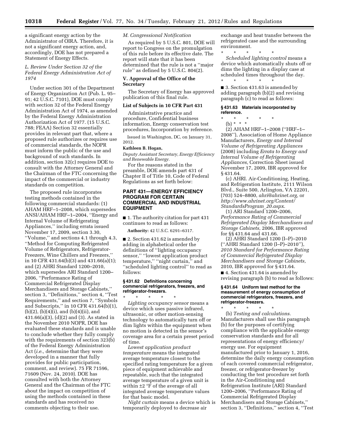a significant energy action by the Administrator of OIRA. Therefore, it is not a significant energy action, and, accordingly, DOE has not prepared a Statement of Energy Effects.

# *L. Review Under Section 32 of the Federal Energy Administration Act of 1974*

Under section 301 of the Department of Energy Organization Act (Pub. L. 95– 91; 42 U.S.C. 7101), DOE must comply with section 32 of the Federal Energy Administration Act of 1974, as amended by the Federal Energy Administration Authorization Act of 1977. (15 U.S.C. 788; FEAA) Section 32 essentially provides in relevant part that, where a proposed rule authorizes or requires use of commercial standards, the NOPR must inform the public of the use and background of such standards. In addition, section 32(c) requires DOE to consult with the Attorney General and the Chairman of the FTC concerning the impact of the commercial or industry standards on competition.

The proposed rule incorporates testing methods contained in the following commercial standards: (1) AHAM HRF–1–2008, which supersedes ANSI/AHAM HRF–1–2004, ''Energy and Internal Volume of Refrigerating Appliances,'' including errata issued November 17, 2009, section 3.30, ''Volume,'' and sections 4.1 through 4.3, ''Method for Computing Refrigerated Volume of Refrigerators, Refrigerator-Freezers, Wine Chillers and Freezers,'' in 10 CFR 431.64(b)(3) and 431.66(a)(1); and (2) AHRI Standard 1200–2010, which supersedes ARI Standard 1200– 2006, ''Performance Rating of Commercial Refrigerated Display Merchandisers and Storage Cabinets,'' section 3, ''Definitions,'' section 4, ''Test Requirements,'' and section 7, ''Symbols and Subscripts,'' in 10 CFR 431.64(b)(1),  $(b)(2)$ ,  $(b)(4)(i)$ , and  $(b)(4)(ii)$ , and 431.66(a)(3), (d)(2) and (3). As stated in the November 2010 NOPR, DOE has evaluated these standards and is unable to conclude whether they fully comply with the requirements of section 323(b) of the Federal Energy Administration Act (*i.e.,* determine that they were developed in a manner that fully provides for public participation, comment, and review). 75 FR 71596, 71609 (Nov. 24, 2010). DOE has consulted with both the Attorney General and the Chairman of the FTC about the impact on competition of using the methods contained in these standards and has received no comments objecting to their use.

# *M. Congressional Notification*

As required by 5 U.S.C. 801, DOE will report to Congress on the promulgation of this rule before its effective date. The report will state that it has been determined that the rule is not a ''major rule'' as defined by 5 U.S.C. 804(2).

# **V. Approval of the Office of the Secretary**

The Secretary of Energy has approved publication of this final rule.

# **List of Subjects in 10 CFR Part 431**

Administrative practice and procedure, Confidential business information, Energy conservation test procedures, Incorporation by reference.

Issued in Washington, DC, on January 31, 2012.

#### **Kathleen B. Hogan,**

*Deputy Assistant Secretary, Energy Efficiency and Renewable Energy.* 

For the reasons stated in the preamble, DOE amends part 431 of Chapter II of Title 10, Code of Federal Regulations as set forth below:

# **PART 431—ENERGY EFFICIENCY PROGRAM FOR CERTAIN COMMERCIAL AND INDUSTRIAL EQUIPMENT**

■ 1. The authority citation for part 431 continues to read as follows:

**Authority:** 42 U.S.C. 6291–6317.

■ 2. Section 431.62 is amended by adding in alphabetical order the definitions of ''lighting occupancy sensor,'' ''lowest application product temperature,'' ''night curtain,'' and ''scheduled lighting control'' to read as follows:

#### **§ 431.62 Definitions concerning commercial refrigerators, freezers, and refrigerator-freezers.**

\* \* \* \* \* *Lighting occupancy sensor* means a device which uses passive infrared, ultrasonic, or other motion-sensing technology to automatically turn off or dim lights within the equipment when no motion is detected in the sensor's coverage area for a certain preset period of time.

*Lowest application product temperature* means the integrated average temperature closest to the specified rating temperature for a given piece of equipment achievable and repeatable, such that the integrated average temperature of a given unit is within  $\pm 2$  °F of the average of all integrated average temperature values for that basic model.

*Night curtain* means a device which is temporarily deployed to decrease air

exchange and heat transfer between the refrigerated case and the surrounding environment.

\* \* \* \* \* *Scheduled lighting control* means a device which automatically shuts off or dims the lighting in a display case at scheduled times throughout the day. \* \* \* \* \*

■ 3. Section 431.63 is amended by adding paragraph (b)(2) and revising paragraph (c) to read as follows:

#### **§ 431.63 Materials incorporated by reference.**

\* \* \* \* \*

(b) \* \* \*

(2) AHAM HRF–1–2008 (''HRF–1– 2008''), Association of Home Appliance Manufacturers, *Energy and Internal Volume of Refrigerating Appliances*  (2008) including *Errata to Energy and Internal Volume of Refrigerating Appliances,* Correction Sheet issued November 17, 2009, IBR approved for § 431.64.

(c) AHRI. Air-Conditioning, Heating, and Refrigeration Institute, 2111 Wilson Blvd., Suite 500, Arlington, VA 22201, (703) 524–8800, *[ahri@ahrinet.org,](mailto:ahri@ahrinet.org)* or *[http://www.ahrinet.org/Content/](http://www.ahrinet.org/Content/StandardsProgram_20.aspx) [StandardsProgram](http://www.ahrinet.org/Content/StandardsProgram_20.aspx)*\_*20.aspx*.

(1) ARI Standard 1200–2006, *Performance Rating of Commercial Refrigerated Display Merchandisers and Storage Cabinets,* 2006, IBR approved for §§ 431.64 and 431.66.

(2) AHRI Standard 1200 (I–P)–2010 (''AHRI Standard 1200 (I–P)–2010''), *2010 Standard for Performance Rating of Commercial Refrigerated Display Merchandisers and Storage Cabinets,*  2010, IBR approved for § 431.64.

■ 4. Section 431.64 is amended by revising paragraph (b) to read as follows:

#### **§ 431.64 Uniform test method for the measurement of energy consumption of commercial refrigerators, freezers, and refrigerator-freezers.**

\* \* \* \* \* (b) *Testing and calculations.*  Manufacturers shall use this paragraph (b) for the purposes of certifying compliance with the applicable energy conservation standards and for all representations of energy efficiency/ energy use. For equipment manufactured prior to January 1, 2016, determine the daily energy consumption of each covered commercial refrigerator, freezer, or refrigerator-freezer by conducting the test procedure set forth in the Air-Conditioning and Refrigeration Institute (ARI) Standard 1200–2006, ''Performance Rating of Commercial Refrigerated Display Merchandisers and Storage Cabinets,'' section 3, "Definitions," section 4, "Test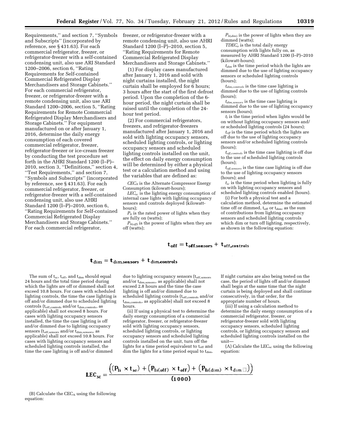Requirements,'' and section 7, ''Symbols and Subscripts'' (incorporated by reference, see § 431.63). For each commercial refrigerator, freezer, or refrigerator-freezer with a self-contained condensing unit, also use ARI Standard 1200–2006, section 6, ''Rating Requirements for Self-contained Commercial Refrigerated Display Merchandisers and Storage Cabinets.'' For each commercial refrigerator, freezer, or refrigerator-freezer with a remote condensing unit, also use ARI Standard 1200–2006, section 5, ''Rating Requirements for Remote Commercial Refrigerated Display Merchandisers and Storage Cabinets.'' For equipment manufactured on or after January 1, 2016, determine the daily energy consumption of each covered commercial refrigerator, freezer, refrigerator-freezer or ice-cream freezer by conducting the test procedure set forth in the AHRI Standard 1200 (I–P)– 2010, section 3, ''Definitions,'' section 4, ''Test Requirements,'' and section 7, ''Symbols and Subscripts'' (incorporated by reference, see § 431.63). For each commercial refrigerator, freezer, or refrigerator-freezer with a self-contained condensing unit, also use AHRI Standard 1200 (I–P)–2010, section 6, ''Rating Requirements for Self-contained Commercial Refrigerated Display Merchandisers and Storage Cabinets.'' For each commercial refrigerator,

freezer, or refrigerator-freezer with a remote condensing unit, also use AHRI Standard 1200 (I–P)–2010, section 5, ''Rating Requirements for Remote Commercial Refrigerated Display Merchandisers and Storage Cabinets.''

(1) For display cases manufactured after January 1, 2016 and sold with night curtains installed, the night curtain shall be employed for 6 hours; 3 hours after the start of the first defrost period. Upon the completion of the 6 hour period, the night curtain shall be raised until the completion of the 24 hour test period.

(2) For commercial refrigerators, freezers, and refrigerator-freezers manufactured after January 1, 2016 and sold with lighting occupancy sensors, scheduled lighting controls, or lighting occupancy sensors and scheduled lighting controls installed on the unit, the effect on daily energy consumption will be determined by either a physical test or a calculation method and using the variables that are defined as:

*CECA* is the Alternate Compressor Energy Consumption (kilowatt-hours);

*LECsc* is the lighting energy consumption of internal case lights with lighting occupancy sensors and controls deployed (kilowatthours);

 $P_{li}$  is the rated power of lights when they are fully on (watts);

 $P_{li(off)}$  is the power of lights when they are off (watts);

*Pli*(*dim*) is the power of lights when they are dimmed (watts);

*TDECo* is the total daily energy consumption with lights fully on, as measured by AHRI Standard 1200 (I–P)–2010 (kilowatt-hours);

*tdim* is the time period which the lights are dimmed due to the use of lighting occupancy sensors or scheduled lighting controls (hours);

*tdim,controls* is the time case lighting is dimmed due to the use of lighting controls (hours);

*tdim,sensors* is the time case lighting is dimmed due to the use of lighting occupancy sensors (hours);

*tl* is the time period when lights would be on without lighting occupancy sensors and/ or scheduled lighting controls (24 hours);

*toff* is the time period which the lights are off due to the use of lighting occupancy sensors and/or scheduled lighting controls (hours);

*toff,controls* is the time case lighting is off due to the use of scheduled lighting controls (hours);

*toff,sensors* is the time case lighting is off due to the use of lighting occupancy sensors (hours); and

*tsc* is the time period when lighting is fully on with lighting occupancy sensors and scheduled lighting controls enabled (hours).

(i) For both a physical test and a calculation method, determine the estimated time off or dimmed,  $t_{off}$  or  $t_{dim}$ , as the sum of contributions from lighting occupancy sensors and scheduled lighting controls which dim or turn off lighting, respectively, as shown in the following equation:

# $t_{off} = t_{off,sensors} + t_{off,controls}$

# $t_{\dim} = t_{\dim,sensors} + t_{\dim, controls}$

The sum of  $t_{sc}$ ,  $t_{off}$ , and  $t_{dim}$  should equal 24 hours and the total time period during which the lights are off or dimmed shall not exceed 10.8 hours. For cases with scheduled lighting controls, the time the case lighting is off and/or dimmed due to scheduled lighting controls ( $t_{\rm off, controls}$  and/or  $t_{\rm dim, controls}$ , as applicable) shall not exceed 8 hours. For cases with lighting occupancy sensors installed, the time the case lighting is off and/or dimmed due to lighting occupancy sensors ( $t_{\rm off,sensors}$  and/or  $t_{\rm dim,sensors}$ , as applicable) shall not exceed 10.8 hours. For cases with lighting occupancy sensors and scheduled lighting controls installed, the time the case lighting is off and/or dimmed

due to lighting occupancy sensors (toff,sensors and/or t<sub>dim,sensors</sub>, as applicable) shall not exceed 2.8 hours and the time the case lighting is off and/or dimmed due to scheduled lighting controls (toff,controls and/or t<sub>dim,controls</sub>, as applicable) shall not exceed 8 hours.

(ii) If using a physical test to determine the daily energy consumption of a commercial refrigerator, freezer, or refrigerator-freezer sold with lighting occupancy sensors, scheduled lighting controls, or lighting occupancy sensors and scheduled lighting controls installed on the unit, turn off the lights for a time period equivalent to toff and dim the lights for a time period equal to t<sub>dim</sub>.

If night curtains are also being tested on the case, the period of lights off and/or dimmed shall begin at the same time that the night curtain is being deployed and shall continue consecutively, in that order, for the appropriate number of hours.

(iii) If using a calculation method to determine the daily energy consumption of a commercial refrigerator, freezer, or refrigerator-freezer sold with lighting occupancy sensors, scheduled lighting controls, or lighting occupancy sensors and scheduled lighting controls installed on the unit—

 $(A)$  Calculate the LEC<sub>sc</sub> using the following equation:

$$
LEC_{sc} = \frac{((P_{li} \times t_{sc}) + (P_{li(off)} \times t_{off}) + (P_{li(dim)} \times t_{dim}))}{(1000)}
$$

 $(B)$  Calculate the CEC<sub>A</sub> using the following equation: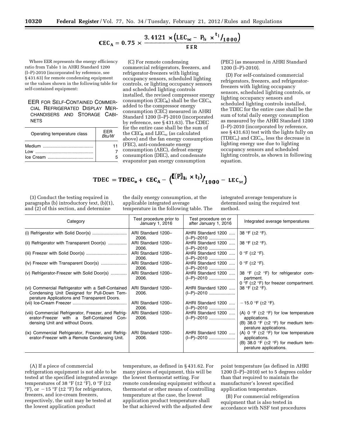# CEC<sub>A</sub> = 0.75  $\times \frac{3.4121 \times (LEC_{sc} - P_{li} \times t_1/_{1000})}{EER}$

Where EER represents the energy efficiency ratio from Table 1 in AHRI Standard 1200 (I–P)-2010 (incorporated by reference, see § 431.63) for remote condensing equipment or the values shown in the following table for self-contained equipment:

EER FOR SELF-CONTAINED COMMER-CIAL REFRIGERATED DISPLAY MER-CHANDISERS AND STORAGE CABI-**NETS** 

| Operating temperature class | FFR<br>Btu/W |
|-----------------------------|--------------|
|                             |              |
| l ow                        |              |
|                             |              |

(C) For remote condensing commercial refrigerators, freezers, and refrigerator-freezers with lighting occupancy sensors, scheduled lighting controls, or lighting occupancy sensors and scheduled lighting controls installed, the revised compressor energy consumption ( $CEC_R$ ) shall be the  $CEC_A$ added to the compressor energy consumption (CEC) measured in AHRI Standard 1200 (I–P)-2010 (incorporated by reference, see § 431.63). The CDEC for the entire case shall be the sum of the  $CEC_R$  and  $LEG_{sc}$  (as calculated above) and the fan energy consumption (FEC), anti-condensate energy consumption (AEC), defrost energy consumption (DEC), and condensate evaporator pan energy consumption

(PEC) (as measured in AHRI Standard 1200 (I–P)-2010).

(D) For self-contained commercial refrigerators, freezers, and refrigeratorfreezers with lighting occupancy sensors, scheduled lighting controls, or lighting occupancy sensors and scheduled lighting controls installed, the TDEC for the entire case shall be the sum of total daily energy consumption as measured by the AHRI Standard 1200 (I–P)-2010 (incorporated by reference, see § 431.63) test with the lights fully on (TDEC<sub>o</sub>) and CEC<sub>A</sub>, less the decrease in lighting energy use due to lighting occupancy sensors and scheduled lighting controls, as shown in following equation.

$$
\text{TDEC} = \text{TDEC}_{o} + \text{CEC}_{A} - (\mathbf{I}(\mathbf{P})_{1i} \times \mathbf{t}_{1}) / \mathbf{1}_{1000} - \text{LEC}_{sc})
$$

(3) Conduct the testing required in paragraphs (b) introductory text, (b)(1), and (2) of this section, and determine

the daily energy consumption, at the applicable integrated average temperature in the following table. The integrated average temperature is determined using the required test method.

| Category                                                                                                                                          | Test procedure prior to<br>January 1, 2016 | Test procedure on or<br>after January 1, 2016 | Integrated average temperatures                                                                                                                      |
|---------------------------------------------------------------------------------------------------------------------------------------------------|--------------------------------------------|-----------------------------------------------|------------------------------------------------------------------------------------------------------------------------------------------------------|
|                                                                                                                                                   | ARI Standard 1200-<br>2006.                | AHRI Standard 1200                            | 38 °F ( $\pm$ 2 °F).                                                                                                                                 |
| (ii) Refrigerator with Transparent Door(s)                                                                                                        | ARI Standard 1200-<br>2006.                | AHRI Standard 1200<br>$(I-P)-2010$            | 38 °F (±2 °F).                                                                                                                                       |
|                                                                                                                                                   | ARI Standard 1200-<br>2006.                | AHRI Standard 1200                            | 0 °F ( $\pm$ 2 °F).                                                                                                                                  |
|                                                                                                                                                   | ARI Standard 1200-<br>2006.                | AHRI Standard 1200                            | 0 °F ( $\pm$ 2 °F).                                                                                                                                  |
| (v) Refrigerator-Freezer with Solid Door(s)                                                                                                       | ARI Standard 1200-<br>2006.                |                                               | AHRI Standard 1200  38 °F ( $\pm$ 2 °F) for refrigerator com-<br>partment.<br>0 °F ( $\pm$ 2 °F) for freezer compartment.                            |
| (vi) Commercial Refrigerator with a Self-Contained<br>Condensing Unit Designed for Pull-Down Tem-<br>perature Applications and Transparent Doors. | ARI Standard 1200-<br>2006.                | AHRI Standard 1200<br>(I-P)-2010              | 38 °F ( $\pm$ 2 °F).                                                                                                                                 |
|                                                                                                                                                   | ARI Standard 1200-<br>2006.                | AHRI Standard 1200<br>$(I-P)-2010$            | $-15.0$ °F ( $\pm$ 2 °F).                                                                                                                            |
| (viii) Commercial Refrigerator, Freezer, and Refrig-<br>erator-Freezer with a Self-Contained Con-<br>densing Unit and without Doors.              | ARI Standard 1200-<br>2006.                | AHRI Standard 1200                            | (A) 0 °F ( $\pm$ 2 °F) for low temperature<br>applications.<br>(B) 38.0 $\degree$ F ( $\pm$ 2 $\degree$ F) for medium tem-<br>perature applications. |
| (ix) Commercial Refrigerator, Freezer, and Refrig-<br>erator-Freezer with a Remote Condensing Unit.                                               | ARI Standard 1200-<br>2006.                | AHRI Standard 1200                            | (A) 0 °F ( $\pm$ 2 °F) for low temperature<br>applications.<br>(B) 38.0 °F ( $\pm$ 2 °F) for medium tem-<br>perature applications.                   |

(A) If a piece of commercial refrigeration equipment is not able to be tested at the specified integrated average temperatures of 38 °F ( $\pm$ 2 °F), 0 °F ( $\pm$ 2  $\mathrm{P}F$ ), or  $-15$   $\mathrm{P}F$  ( $\pm 2$   $\mathrm{P}F$ ) for refrigerators, freezers, and ice-cream freezers, respectively, the unit may be tested at the lowest application product

temperature, as defined in § 431.62. For many pieces of equipment, this will be the lowest thermostat setting. For remote condensing equipment without a thermostat or other means of controlling temperature at the case, the lowest application product temperature shall be that achieved with the adjusted dew

point temperature (as defined in AHRI 1200 (I–P)–2010) set to 5 degrees colder than that required to maintain the manufacturer's lowest specified application temperature.

(B) For commercial refrigeration equipment that is also tested in accordance with NSF test procedures